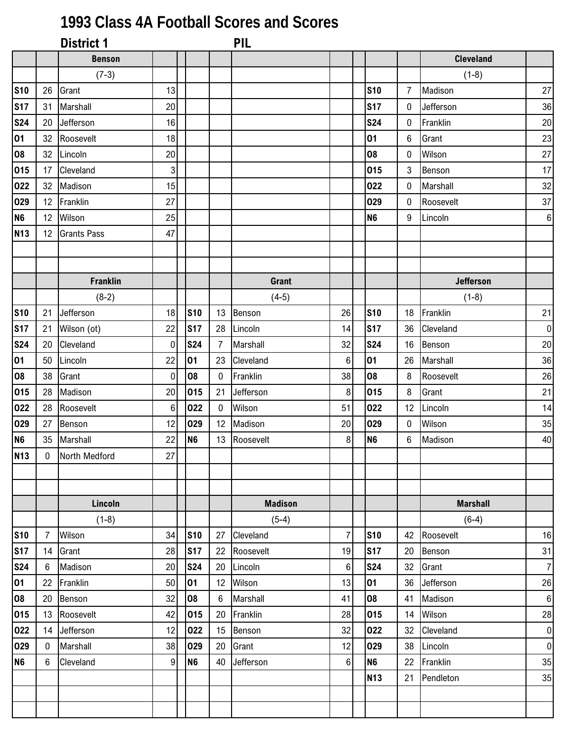## **1993 Class 4A Football Scores and Scores**

|                 |                | <b>District 1</b>  |                |                |                 | <b>PIL</b>     |                |                 |                |                  |                  |
|-----------------|----------------|--------------------|----------------|----------------|-----------------|----------------|----------------|-----------------|----------------|------------------|------------------|
|                 |                | <b>Benson</b>      |                |                |                 |                |                |                 |                | <b>Cleveland</b> |                  |
|                 |                | $(7-3)$            |                |                |                 |                |                |                 |                | $(1-8)$          |                  |
| <b>S10</b>      | 26             | Grant              | 13             |                |                 |                |                | <b>S10</b>      | $\overline{7}$ | Madison          | 27               |
| <b>S17</b>      | 31             | Marshall           | 20             |                |                 |                |                | <b>S17</b>      | $\mathbf{0}$   | Jefferson        | 36               |
| <b>S24</b>      | 20             | Jefferson          | 16             |                |                 |                |                | <b>S24</b>      | $\mathbf 0$    | Franklin         | $20\,$           |
| 01              | 32             | Roosevelt          | 18             |                |                 |                |                | 01              | 6              | Grant            | 23               |
| 08              | 32             | Lincoln            | 20             |                |                 |                |                | 08              | $\mathbf 0$    | Wilson           | 27               |
| 015             | 17             | Cleveland          | 3 <sup>1</sup> |                |                 |                |                | 015             | $\mathbf{3}$   | Benson           | 17               |
| 022             | 32             | Madison            | 15             |                |                 |                |                | 022             | $\mathbf{0}$   | Marshall         | 32               |
| 029             | 12             | Franklin           | 27             |                |                 |                |                | 029             | $\mathbf 0$    | Roosevelt        | 37               |
| N <sub>6</sub>  | 12             | Wilson             | 25             |                |                 |                |                | <b>N6</b>       | $9\,$          | Lincoln          | $\boldsymbol{6}$ |
| <b>N13</b>      | 12             | <b>Grants Pass</b> | 47             |                |                 |                |                |                 |                |                  |                  |
|                 |                |                    |                |                |                 |                |                |                 |                |                  |                  |
|                 |                |                    |                |                |                 |                |                |                 |                |                  |                  |
|                 |                | <b>Franklin</b>    |                |                |                 | Grant          |                |                 |                | <b>Jefferson</b> |                  |
|                 |                | $(8-2)$            |                |                |                 | $(4-5)$        |                |                 |                | $(1-8)$          |                  |
| <b>S10</b>      | 21             | Jefferson          | 18             | <b>S10</b>     | 13              | Benson         | 26             | <b>S10</b>      | 18             | Franklin         | 21               |
| <b>S17</b>      | 21             | Wilson (ot)        | 22             | <b>S17</b>     | 28              | Lincoln        | 14             | <b>S17</b>      | 36             | Cleveland        | $\boldsymbol{0}$ |
| <b>S24</b>      | 20             | Cleveland          | $\mathbf 0$    | <b>S24</b>     | 7               | Marshall       | 32             | <b>S24</b>      | 16             | Benson           | 20               |
| 01              | 50             | Lincoln            | 22             | 01             | 23              | Cleveland      | 6              | 01              | 26             | Marshall         | 36               |
| 08              | 38             | Grant              | 0              | 08             | $\mathbf 0$     | Franklin       | 38             | 08              | 8              | Roosevelt        | 26               |
| 015             | 28             | Madison            | 20             | 015            | 21              | Jefferson      | 8 <sup>1</sup> | 015             | 8              | Grant            | 21               |
| 022             | 28             | Roosevelt          | 6              | 022            | $\mathbf 0$     | Wilson         | 51             | 022             | 12             | Lincoln          | 14               |
| 029             | 27             | Benson             | 12             | 029            | 12              | Madison        | 20             | 029             | 0              | Wilson           | 35               |
| N <sub>6</sub>  | 35             | Marshall           | 22             | <b>N6</b>      | 13              | Roosevelt      | 8              | <b>N6</b>       | 6              | Madison          | 40               |
| N <sub>13</sub> | $\overline{0}$ | North Medford      | 27             |                |                 |                |                |                 |                |                  |                  |
|                 |                |                    |                |                |                 |                |                |                 |                |                  |                  |
|                 |                |                    |                |                |                 |                |                |                 |                |                  |                  |
|                 |                | Lincoln            |                |                |                 | <b>Madison</b> |                |                 |                | <b>Marshall</b>  |                  |
|                 |                | $(1-8)$            |                |                |                 | $(5-4)$        |                |                 |                | $(6-4)$          |                  |
| <b>S10</b>      | 7              | Wilson             | 34             | <b>S10</b>     | 27              | Cleveland      | 7              | <b>S10</b>      | 42             | Roosevelt        | 16               |
| <b>S17</b>      | 14             | Grant              | 28             | <b>S17</b>     | 22              | Roosevelt      | 19             | <b>S17</b>      | 20             | Benson           | 31               |
| <b>S24</b>      | 6              | Madison            | 20             | <b>S24</b>     | 20              | Lincoln        | 6              | <b>S24</b>      | 32             | Grant            | $\overline{7}$   |
| 01              | 22             | Franklin           | 50             | 01             | 12              | Wilson         | 13             | 01              | 36             | Jefferson        | 26               |
| 08              | 20             | Benson             | 32             | 08             | $6\phantom{1}6$ | Marshall       | 41             | 08              | 41             | Madison          | $\,6\,$          |
| 015             | 13             | Roosevelt          | 42             | 015            | 20              | Franklin       | 28             | 015             | 14             | Wilson           | 28               |
| 022             | 14             | Jefferson          | 12             | 022            | 15              | Benson         | 32             | 022             | 32             | Cleveland        | 0                |
| 029             | 0              | Marshall           | 38             | 029            | 20              | Grant          | 12             | 029             | 38             | Lincoln          | $\pmb{0}$        |
| N <sub>6</sub>  | 6              | Cleveland          | 9              | N <sub>6</sub> | 40              | Jefferson      | 6 <sup>1</sup> | <b>N6</b>       | 22             | Franklin         | 35               |
|                 |                |                    |                |                |                 |                |                | N <sub>13</sub> | 21             | Pendleton        | 35               |
|                 |                |                    |                |                |                 |                |                |                 |                |                  |                  |
|                 |                |                    |                |                |                 |                |                |                 |                |                  |                  |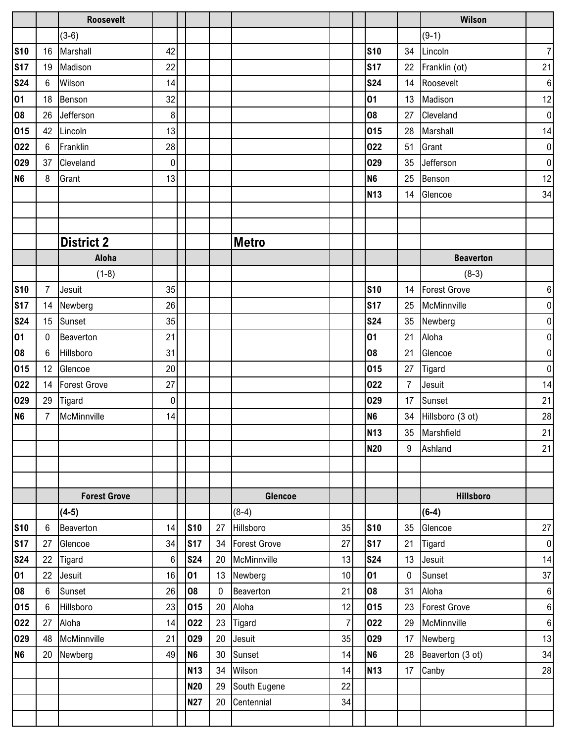|                |                | <b>Roosevelt</b>    |                  |                |             |              |                |                |                | <b>Wilson</b>       |                  |
|----------------|----------------|---------------------|------------------|----------------|-------------|--------------|----------------|----------------|----------------|---------------------|------------------|
|                |                | $(3-6)$             |                  |                |             |              |                |                |                | $(9-1)$             |                  |
| <b>S10</b>     | 16             | Marshall            | 42               |                |             |              |                | <b>S10</b>     | 34             | Lincoln             | $\boldsymbol{7}$ |
| <b>S17</b>     | 19             | Madison             | 22               |                |             |              |                | <b>S17</b>     | 22             | Franklin (ot)       | 21               |
| <b>S24</b>     | $6\phantom{1}$ | Wilson              | 14               |                |             |              |                | <b>S24</b>     | 14             | Roosevelt           | $\,6\,$          |
| 01             | 18             | Benson              | 32               |                |             |              |                | 01             | 13             | Madison             | 12               |
| 08             | 26             | Jefferson           | 8                |                |             |              |                | 08             | 27             | Cleveland           | $\pmb{0}$        |
| 015            | 42             | Lincoln             | 13               |                |             |              |                | 015            | 28             | Marshall            | 14               |
| 022            | $6\phantom{.}$ | Franklin            | 28               |                |             |              |                | 022            | 51             | Grant               | $\pmb{0}$        |
| 029            | 37             | Cleveland           | 0                |                |             |              |                | 029            | 35             | Jefferson           | $\pmb{0}$        |
| N <sub>6</sub> | 8              | Grant               | 13               |                |             |              |                | N <sub>6</sub> | 25             | Benson              | 12               |
|                |                |                     |                  |                |             |              |                | <b>N13</b>     | 14             | Glencoe             | 34               |
|                |                |                     |                  |                |             |              |                |                |                |                     |                  |
|                |                |                     |                  |                |             |              |                |                |                |                     |                  |
|                |                | <b>District 2</b>   |                  |                |             | <b>Metro</b> |                |                |                |                     |                  |
|                |                | Aloha               |                  |                |             |              |                |                |                | <b>Beaverton</b>    |                  |
|                |                | $(1-8)$             |                  |                |             |              |                |                |                | $(8-3)$             |                  |
| <b>S10</b>     | 7              | Jesuit              | 35               |                |             |              |                | <b>S10</b>     | 14             | <b>Forest Grove</b> | $\boldsymbol{6}$ |
| <b>S17</b>     | 14             | Newberg             | 26               |                |             |              |                | <b>S17</b>     | 25             | McMinnville         | $\boldsymbol{0}$ |
| <b>S24</b>     | 15             | Sunset              | 35               |                |             |              |                | <b>S24</b>     | 35             | Newberg             | $\pmb{0}$        |
| 01             | $\mathbf 0$    | Beaverton           | 21               |                |             |              |                | 01             | 21             | Aloha               | $\pmb{0}$        |
| 08             | 6              | Hillsboro           | 31               |                |             |              |                | 08             | 21             | Glencoe             | $\pmb{0}$        |
| 015            | 12             | Glencoe             | 20               |                |             |              |                | 015            | 27             | <b>Tigard</b>       | $\pmb{0}$        |
| 022            | 14             | Forest Grove        | 27               |                |             |              |                | 022            | $\overline{7}$ | Jesuit              | 14               |
| 029            | 29             | Tigard              | $\boldsymbol{0}$ |                |             |              |                | 029            | 17             | Sunset              | 21               |
| N <sub>6</sub> | $\overline{7}$ | McMinnville         | 14               |                |             |              |                | N <sub>6</sub> |                | 34 Hillsboro (3 ot) | 28               |
|                |                |                     |                  |                |             |              |                | <b>N13</b>     |                | 35 Marshfield       | 21               |
|                |                |                     |                  |                |             |              |                | <b>N20</b>     | 9              | Ashland             | 21               |
|                |                |                     |                  |                |             |              |                |                |                |                     |                  |
|                |                |                     |                  |                |             |              |                |                |                |                     |                  |
|                |                | <b>Forest Grove</b> |                  |                |             | Glencoe      |                |                |                | <b>Hillsboro</b>    |                  |
|                |                | $(4-5)$             |                  |                |             | $(8-4)$      |                |                |                | $(6-4)$             |                  |
| <b>S10</b>     | 6              | Beaverton           | 14               | <b>S10</b>     | 27          | Hillsboro    | 35             | <b>S10</b>     | 35             | Glencoe             | 27               |
| <b>S17</b>     | 27             | Glencoe             | 34               | <b>S17</b>     | 34          | Forest Grove | 27             | <b>S17</b>     | 21             | <b>Tigard</b>       | $\pmb{0}$        |
| <b>S24</b>     | 22             | Tigard              | 6                | <b>S24</b>     | 20          | McMinnville  | 13             | <b>S24</b>     | 13             | Jesuit              | 14               |
| 01             | 22             | Jesuit              | 16               | 01             | 13          | Newberg      | 10             | 01             | 0              | Sunset              | 37               |
| 08             | 6              | Sunset              | 26               | 08             | $\mathbf 0$ | Beaverton    | 21             | 08             | 31             | Aloha               | $\,6\,$          |
| 015            | 6              | Hillsboro           | 23               | 015            | 20          | Aloha        | 12             | 015            | 23             | <b>Forest Grove</b> | 6                |
| 022            | 27             | Aloha               | 14               | 022            | 23          | Tigard       | $\overline{7}$ | 022            | 29             | McMinnville         | 6                |
| 029            | 48             | McMinnville         | 21               | 029            | 20          | Jesuit       | 35             | 029            | 17             | Newberg             | 13               |
| <b>N6</b>      | 20             | Newberg             | 49               | N <sub>6</sub> | $30\,$      | Sunset       | 14             | N <sub>6</sub> | 28             | Beaverton (3 ot)    | 34               |
|                |                |                     |                  | <b>N13</b>     | 34          | Wilson       | 14             | <b>N13</b>     | 17             | Canby               | 28               |
|                |                |                     |                  | <b>N20</b>     | 29          | South Eugene | 22             |                |                |                     |                  |
|                |                |                     |                  | <b>N27</b>     | 20          | Centennial   | 34             |                |                |                     |                  |
|                |                |                     |                  |                |             |              |                |                |                |                     |                  |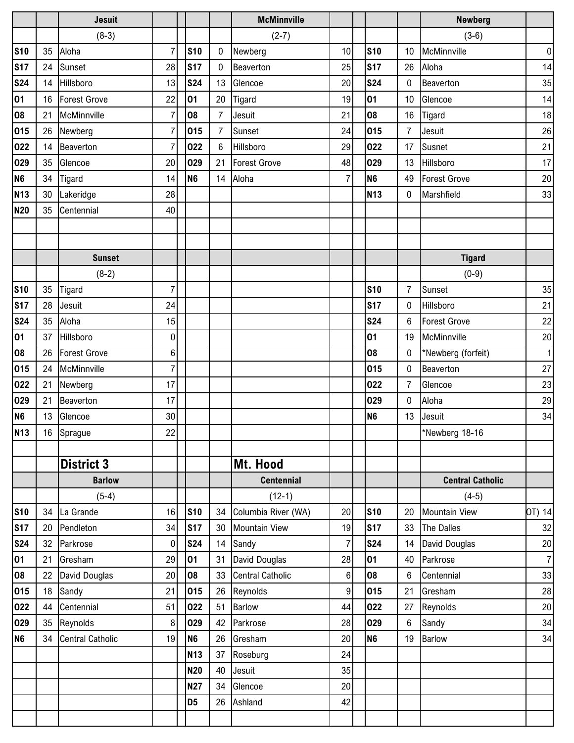|                |    | <b>Jesuit</b>           |                |                |                |                 | <b>McMinnville</b>      |                |                |                 | <b>Newberg</b>          |                |
|----------------|----|-------------------------|----------------|----------------|----------------|-----------------|-------------------------|----------------|----------------|-----------------|-------------------------|----------------|
|                |    | $(8-3)$                 |                |                |                |                 | $(2-7)$                 |                |                |                 | $(3-6)$                 |                |
| <b>S10</b>     | 35 | Aloha                   | $\overline{7}$ |                | <b>S10</b>     | 0               | Newberg                 | 10             | <b>S10</b>     | 10              | McMinnville             | $\pmb{0}$      |
| <b>S17</b>     | 24 | Sunset                  | 28             |                | <b>S17</b>     | 0               | Beaverton               | 25             | <b>S17</b>     | 26              | Aloha                   | 14             |
| <b>S24</b>     | 14 | Hillsboro               | 13             |                | <b>S24</b>     | 13              | Glencoe                 | 20             | <b>S24</b>     | 0               | Beaverton               | 35             |
| 01             | 16 | <b>Forest Grove</b>     | 22             |                | 01             | 20              | Tigard                  | 19             | 01             | 10              | Glencoe                 | 14             |
| 08             | 21 | McMinnville             | $\overline{7}$ |                | 08             | $\overline{7}$  | Jesuit                  | 21             | 08             | 16              | Tigard                  | 18             |
| 015            | 26 | Newberg                 | $\overline{7}$ |                | 015            | $\overline{7}$  | Sunset                  | 24             | 015            | 7               | Jesuit                  | 26             |
| 022            | 14 | Beaverton               | $\overline{7}$ |                | 022            | $6\phantom{.}6$ | Hillsboro               | 29             | 022            | 17              | Susnet                  | 21             |
| 029            | 35 | Glencoe                 | 20             |                | 029            | 21              | Forest Grove            | 48             | 029            | 13              | Hillsboro               | 17             |
| N <sub>6</sub> | 34 | Tigard                  | 14             |                | N <sub>6</sub> | 14              | Aloha                   | $\overline{7}$ | N <sub>6</sub> | 49              | <b>Forest Grove</b>     | $20\,$         |
| <b>N13</b>     | 30 | Lakeridge               | 28             |                |                |                 |                         |                | <b>N13</b>     | 0               | Marshfield              | 33             |
| <b>N20</b>     | 35 | Centennial              | 40             |                |                |                 |                         |                |                |                 |                         |                |
|                |    |                         |                |                |                |                 |                         |                |                |                 |                         |                |
|                |    |                         |                |                |                |                 |                         |                |                |                 |                         |                |
|                |    | <b>Sunset</b>           |                |                |                |                 |                         |                |                |                 | <b>Tigard</b>           |                |
|                |    | $(8-2)$                 |                |                |                |                 |                         |                |                |                 | $(0-9)$                 |                |
| <b>S10</b>     | 35 | <b>Tigard</b>           | $\overline{7}$ |                |                |                 |                         |                | <b>S10</b>     | $\overline{7}$  | Sunset                  | 35             |
| <b>S17</b>     | 28 | Jesuit                  | 24             |                |                |                 |                         |                | <b>S17</b>     | 0               | Hillsboro               | 21             |
| <b>S24</b>     | 35 | Aloha                   | 15             |                |                |                 |                         |                | <b>S24</b>     | 6               | <b>Forest Grove</b>     | 22             |
| 01             | 37 | Hillsboro               | 0              |                |                |                 |                         |                | 01             | 19              | McMinnville             | 20             |
| 08             | 26 | <b>Forest Grove</b>     | 6              |                |                |                 |                         |                | 08             | 0               | *Newberg (forfeit)      | $\mathbf{1}$   |
| 015            | 24 | McMinnville             | $\overline{7}$ |                |                |                 |                         |                | 015            | $\mathbf{0}$    | Beaverton               | 27             |
| 022            | 21 | Newberg                 | 17             |                |                |                 |                         |                | 022            | $\overline{7}$  | Glencoe                 | 23             |
| 029            | 21 | Beaverton               | 17             |                |                |                 |                         |                | 029            | $\bf{0}$        | Aloha                   | 29             |
| N <sub>6</sub> | 13 | Glencoe                 | 30             |                |                |                 |                         |                | <b>N6</b>      | 13              | Jesuit                  | 34             |
| <b>N13</b>     |    | 16 Sprague              | 22             |                |                |                 |                         |                |                |                 | *Newberg 18-16          |                |
|                |    |                         |                |                |                |                 |                         |                |                |                 |                         |                |
|                |    | <b>District 3</b>       |                |                |                |                 | Mt. Hood                |                |                |                 |                         |                |
|                |    | <b>Barlow</b>           |                |                |                |                 | <b>Centennial</b>       |                |                |                 | <b>Central Catholic</b> |                |
|                |    | $(5-4)$                 |                |                |                |                 | $(12-1)$                |                |                |                 | $(4-5)$                 |                |
| <b>S10</b>     | 34 | La Grande               | 16             |                | <b>S10</b>     | 34              | Columbia River (WA)     | 20             | <b>S10</b>     | 20              | <b>Mountain View</b>    | OT) 14         |
| <b>S17</b>     | 20 | Pendleton               | 34             |                | <b>S17</b>     |                 | 30 Mountain View        | 19             | <b>S17</b>     | 33              | The Dalles              | 32             |
| <b>S24</b>     | 32 | Parkrose                | 0              |                | <b>S24</b>     |                 | 14 Sandy                | $\overline{7}$ | <b>S24</b>     | 14              | David Douglas           | 20             |
| 01             | 21 | Gresham                 | 29             | 01             |                | 31              | David Douglas           | 28             | 01             | 40              | Parkrose                | $\overline{7}$ |
| 08             | 22 | David Douglas           | 20             |                | 08             | 33              | <b>Central Catholic</b> | $6\phantom{.}$ | 08             | 6               | Centennial              | 33             |
| 015            | 18 | Sandy                   | 21             |                | 015            | 26              | Reynolds                | $\overline{9}$ | 015            | 21              | Gresham                 | 28             |
| 022            | 44 | Centennial              | 51             |                | 022            | 51              | Barlow                  | 44             | 022            | 27              | Reynolds                | $20\,$         |
| 029            | 35 | Reynolds                | 8              |                | 029            | 42              | Parkrose                | 28             | 029            | $6\phantom{.0}$ | Sandy                   | 34             |
| N <sub>6</sub> | 34 | <b>Central Catholic</b> | 19             | N <sub>6</sub> |                | 26              | Gresham                 | 20             | N <sub>6</sub> | 19              | <b>Barlow</b>           | 34             |
|                |    |                         |                |                | <b>N13</b>     | 37              | Roseburg                | 24             |                |                 |                         |                |
|                |    |                         |                |                | <b>N20</b>     | 40              | Jesuit                  | 35             |                |                 |                         |                |
|                |    |                         |                |                | <b>N27</b>     | 34              | Glencoe                 | 20             |                |                 |                         |                |
|                |    |                         |                |                | D <sub>5</sub> | 26              | Ashland                 | 42             |                |                 |                         |                |
|                |    |                         |                |                |                |                 |                         |                |                |                 |                         |                |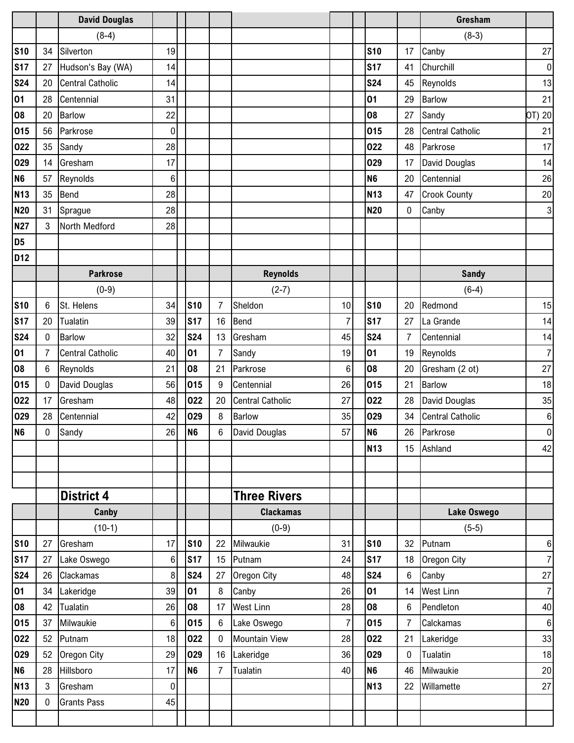|                 |              | <b>David Douglas</b>    |             |                |                |                         |                |                |             | Gresham                 |                |
|-----------------|--------------|-------------------------|-------------|----------------|----------------|-------------------------|----------------|----------------|-------------|-------------------------|----------------|
|                 |              | $(8-4)$                 |             |                |                |                         |                |                |             | $(8-3)$                 |                |
| <b>S10</b>      | 34           | Silverton               | 19          |                |                |                         |                | <b>S10</b>     | 17          | Canby                   | 27             |
| <b>S17</b>      | 27           | Hudson's Bay (WA)       | 14          |                |                |                         |                | <b>S17</b>     | 41          | Churchill               | $\pmb{0}$      |
| <b>S24</b>      | 20           | <b>Central Catholic</b> | 14          |                |                |                         |                | <b>S24</b>     | 45          | Reynolds                | 13             |
| 01              | 28           | Centennial              | 31          |                |                |                         |                | 01             | 29          | <b>Barlow</b>           | 21             |
| 08              | 20           | <b>Barlow</b>           | 22          |                |                |                         |                | 08             | 27          | Sandy                   | OT) 20         |
| 015             | 56           | Parkrose                | $\mathbf 0$ |                |                |                         |                | 015            | 28          | <b>Central Catholic</b> | 21             |
| 022             | 35           | Sandy                   | 28          |                |                |                         |                | 022            | 48          | Parkrose                | 17             |
| 029             | 14           | Gresham                 | 17          |                |                |                         |                | 029            | 17          | David Douglas           | 14             |
| N <sub>6</sub>  | 57           | Reynolds                | 6           |                |                |                         |                | N <sub>6</sub> | 20          | Centennial              | 26             |
| <b>N13</b>      | 35           | Bend                    | 28          |                |                |                         |                | <b>N13</b>     | 47          | <b>Crook County</b>     | 20             |
| <b>N20</b>      | 31           | Sprague                 | 28          |                |                |                         |                | <b>N20</b>     | $\mathbf 0$ | Canby                   | 3              |
| <b>N27</b>      | 3            | North Medford           | 28          |                |                |                         |                |                |             |                         |                |
| D <sub>5</sub>  |              |                         |             |                |                |                         |                |                |             |                         |                |
| D <sub>12</sub> |              |                         |             |                |                |                         |                |                |             |                         |                |
|                 |              | <b>Parkrose</b>         |             |                |                | <b>Reynolds</b>         |                |                |             | <b>Sandy</b>            |                |
|                 |              | $(0-9)$                 |             |                |                | $(2-7)$                 |                |                |             | $(6-4)$                 |                |
| <b>S10</b>      | 6            | St. Helens              | 34          | <b>S10</b>     | $\overline{7}$ | Sheldon                 | 10             | <b>S10</b>     | 20          | Redmond                 | 15             |
| <b>S17</b>      | 20           | Tualatin                | 39          | <b>S17</b>     | 16             | Bend                    | $\overline{7}$ | <b>S17</b>     | 27          | La Grande               | 14             |
| <b>S24</b>      | $\mathbf{0}$ | <b>Barlow</b>           | 32          | <b>S24</b>     | 13             | Gresham                 | 45             | <b>S24</b>     | 7           | Centennial              | 14             |
| 01              | 7            | <b>Central Catholic</b> | 40          | 01             | 7              | Sandy                   | 19             | 01             | 19          | Reynolds                | $\overline{7}$ |
| 08              | 6            | Reynolds                | 21          | 08             | 21             | Parkrose                | 6              | 08             | 20          | Gresham (2 ot)          | 27             |
| 015             | 0            | David Douglas           | 56          | 015            | 9              | Centennial              | 26             | 015            | 21          | Barlow                  | 18             |
| 022             | 17           | Gresham                 | 48          | 022            | 20             | <b>Central Catholic</b> | 27             | 022            | 28          | <b>David Douglas</b>    | 35             |
| 029             | 28           | Centennial              | 42          | 029            | 8              | Barlow                  | 35             | 029            | 34          | <b>Central Catholic</b> | $\,6$          |
| N <sub>6</sub>  | $\pmb{0}$    | Sandy                   | 26          | N <sub>6</sub> | 6              | David Douglas           | 57             | N <sub>6</sub> |             | 26 Parkrose             | $\mathbf 0$    |
|                 |              |                         |             |                |                |                         |                | <b>N13</b>     | 15          | Ashland                 | 42             |
|                 |              |                         |             |                |                |                         |                |                |             |                         |                |
|                 |              |                         |             |                |                |                         |                |                |             |                         |                |
|                 |              | <b>District 4</b>       |             |                |                | <b>Three Rivers</b>     |                |                |             |                         |                |
|                 |              | Canby                   |             |                |                | <b>Clackamas</b>        |                |                |             | Lake Oswego             |                |
|                 |              | $(10-1)$                |             |                |                | $(0-9)$                 |                |                |             | $(5-5)$                 |                |
| <b>S10</b>      | 27           | Gresham                 | 17          | <b>S10</b>     | 22             | Milwaukie               | 31             | <b>S10</b>     | 32          | Putnam                  | 6              |
| <b>S17</b>      | 27           | Lake Oswego             | 6           | <b>S17</b>     | 15             | Putnam                  | 24             | <b>S17</b>     | 18          | Oregon City             | $\overline{7}$ |
| <b>S24</b>      | 26           | Clackamas               | 8           | <b>S24</b>     | 27             | Oregon City             | 48             | <b>S24</b>     | 6           | Canby                   | 27             |
| 01              | 34           | Lakeridge               | 39          | 01             | 8              | Canby                   | 26             | 01             | 14          | <b>West Linn</b>        | $\overline{7}$ |
| 08              | 42           | Tualatin                | 26          | 08             | 17             | <b>West Linn</b>        | 28             | 08             | 6           | Pendleton               | 40             |
| 015             | 37           | Milwaukie               | 6           | 015            | $6\phantom{.}$ | Lake Oswego             | $\overline{7}$ | 015            | 7           | Calckamas               | $\,6\,$        |
| 022             | 52           | Putnam                  | 18          | 022            | $\mathbf 0$    | <b>Mountain View</b>    | 28             | 022            | 21          | Lakeridge               | 33             |
| 029             | 52           | Oregon City             | 29          | 029            | 16             | Lakeridge               | 36             | 029            | $\bf{0}$    | Tualatin                | 18             |
| N <sub>6</sub>  | 28           | Hillsboro               | 17          | N <sub>6</sub> | $\overline{7}$ | Tualatin                | 40             | N <sub>6</sub> | 46          | Milwaukie               | $20\,$         |
| <b>N13</b>      | 3            | Gresham                 | 0           |                |                |                         |                | <b>N13</b>     | 22          | Willamette              | 27             |
| <b>N20</b>      | $\mathbf 0$  | <b>Grants Pass</b>      | 45          |                |                |                         |                |                |             |                         |                |
|                 |              |                         |             |                |                |                         |                |                |             |                         |                |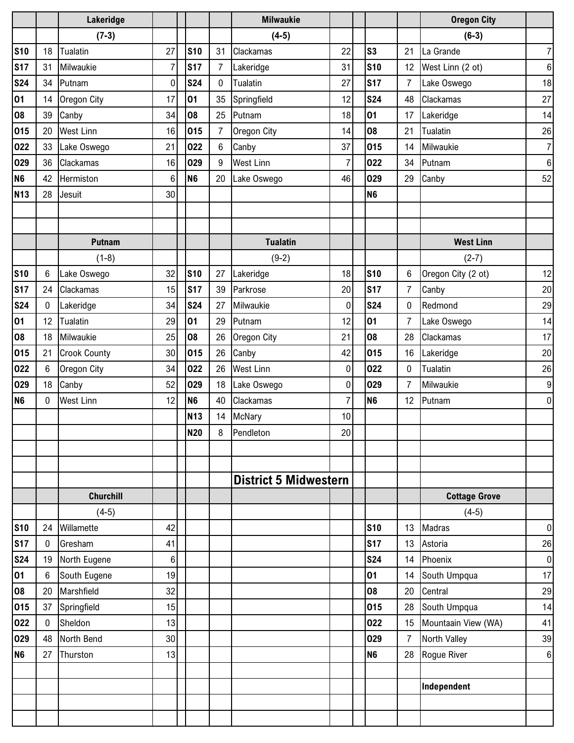|                |             | Lakeridge           |                 |                |                | <b>Milwaukie</b>             |                |                |                | <b>Oregon City</b>   |                  |
|----------------|-------------|---------------------|-----------------|----------------|----------------|------------------------------|----------------|----------------|----------------|----------------------|------------------|
|                |             | $(7-3)$             |                 |                |                | $(4-5)$                      |                |                |                | $(6-3)$              |                  |
| <b>S10</b>     | 18          | Tualatin            | 27              | <b>S10</b>     | 31             | Clackamas                    | 22             | s <sub>3</sub> | 21             | La Grande            | $\overline{7}$   |
| <b>S17</b>     | 31          | Milwaukie           | $\overline{7}$  | <b>S17</b>     | $\overline{7}$ | Lakeridge                    | 31             | <b>S10</b>     | 12             | West Linn (2 ot)     | $\boldsymbol{6}$ |
| <b>S24</b>     | 34          | Putnam              | $\overline{0}$  | <b>S24</b>     | $\mathbf 0$    | Tualatin                     | 27             | <b>S17</b>     | $\overline{7}$ | Lake Oswego          | 18               |
| 01             | 14          | Oregon City         | 17              | 01             | 35             | Springfield                  | 12             | <b>S24</b>     | 48             | Clackamas            | 27               |
| 08             | 39          | Canby               | 34              | 08             | 25             | Putnam                       | 18             | 01             | 17             | Lakeridge            | 14               |
| 015            | 20          | <b>West Linn</b>    | 16              | 015            | $\overline{7}$ | Oregon City                  | 14             | 08             | 21             | Tualatin             | 26               |
| 022            | 33          | Lake Oswego         | 21              | 022            | 6              | Canby                        | 37             | 015            | 14             | Milwaukie            | $\overline{7}$   |
| 029            | 36          | Clackamas           | 16              | 029            | 9              | <b>West Linn</b>             | $\overline{7}$ | 022            | 34             | Putnam               | 6                |
| N <sub>6</sub> | 42          | Hermiston           | 6               | N <sub>6</sub> | 20             | Lake Oswego                  | 46             | 029            | 29             | Canby                | 52               |
| <b>N13</b>     | 28          | Jesuit              | 30 <sup>°</sup> |                |                |                              |                | N <sub>6</sub> |                |                      |                  |
|                |             |                     |                 |                |                |                              |                |                |                |                      |                  |
|                |             |                     |                 |                |                |                              |                |                |                |                      |                  |
|                |             | <b>Putnam</b>       |                 |                |                | <b>Tualatin</b>              |                |                |                | <b>West Linn</b>     |                  |
|                |             | $(1-8)$             |                 |                |                | $(9-2)$                      |                |                |                | $(2-7)$              |                  |
| <b>S10</b>     | 6           | Lake Oswego         | 32              | <b>S10</b>     | 27             | Lakeridge                    | 18             | <b>S10</b>     | 6              | Oregon City (2 ot)   | 12               |
| <b>S17</b>     | 24          | Clackamas           | 15              | <b>S17</b>     | 39             | Parkrose                     | 20             | <b>S17</b>     | $\overline{7}$ | Canby                | 20               |
| <b>S24</b>     | 0           | Lakeridge           | 34              | <b>S24</b>     | 27             | Milwaukie                    | $\pmb{0}$      | <b>S24</b>     | $\mathbf 0$    | Redmond              | 29               |
| 01             | 12          | Tualatin            | 29              | 01             | 29             | Putnam                       | 12             | 01             | 7              | Lake Oswego          | 14               |
| 08             | 18          | Milwaukie           | 25              | 08             | 26             | Oregon City                  | 21             | 08             | 28             | Clackamas            | 17               |
| 015            | 21          | <b>Crook County</b> | 30              | 015            | 26             | Canby                        | 42             | 015            | 16             | Lakeridge            | 20               |
| 022            | 6           | Oregon City         | 34              | 022            | 26             | <b>West Linn</b>             | $\pmb{0}$      | 022            | 0              | Tualatin             | 26               |
| 029            | 18          | Canby               | 52              | 029            | 18             | Lake Oswego                  | $\pmb{0}$      | 029            | 7              | Milwaukie            | $\boldsymbol{9}$ |
| <b>N6</b>      | $\mathbf 0$ | <b>West Linn</b>    | 12              | N <sub>6</sub> | 40             | <b>Clackamas</b>             | $\overline{7}$ | N <sub>6</sub> | 12             | Putnam               | $\mathbf 0$      |
|                |             |                     |                 | N13            | 14             | McNary                       | 10             |                |                |                      |                  |
|                |             |                     |                 | <b>N20</b>     | 8              | Pendleton                    | $20\,$         |                |                |                      |                  |
|                |             |                     |                 |                |                |                              |                |                |                |                      |                  |
|                |             |                     |                 |                |                |                              |                |                |                |                      |                  |
|                |             |                     |                 |                |                | <b>District 5 Midwestern</b> |                |                |                |                      |                  |
|                |             | <b>Churchill</b>    |                 |                |                |                              |                |                |                | <b>Cottage Grove</b> |                  |
|                |             | $(4-5)$             |                 |                |                |                              |                |                |                | $(4-5)$              |                  |
| <b>S10</b>     | 24          | Willamette          | 42              |                |                |                              |                | <b>S10</b>     | 13             | Madras               | $\boldsymbol{0}$ |
| <b>S17</b>     | $\mathbf 0$ | Gresham             | 41              |                |                |                              |                | <b>S17</b>     | 13             | Astoria              | 26               |
| <b>S24</b>     | 19          | North Eugene        | 6               |                |                |                              |                | <b>S24</b>     | 14             | Phoenix              | $\mathbf 0$      |
| 01             | 6           | South Eugene        | 19              |                |                |                              |                | 01             | 14             | South Umpqua         | 17               |
| 08             | 20          | Marshfield          | 32              |                |                |                              |                | 08             | 20             | Central              | 29               |
| 015            | 37          | Springfield         | 15              |                |                |                              |                | 015            | 28             | South Umpqua         | 14               |
| 022            | 0           | Sheldon             | 13              |                |                |                              |                | 022            | 15             | Mountaain View (WA)  | 41               |
| 029            | 48          | North Bend          | 30 <sup>1</sup> |                |                |                              |                | 029            | $\overline{7}$ | North Valley         | 39               |
| <b>N6</b>      | 27          | Thurston            | 13              |                |                |                              |                | N <sub>6</sub> | 28             | Rogue River          | $6\phantom{1}6$  |
|                |             |                     |                 |                |                |                              |                |                |                |                      |                  |
|                |             |                     |                 |                |                |                              |                |                |                | Independent          |                  |
|                |             |                     |                 |                |                |                              |                |                |                |                      |                  |
|                |             |                     |                 |                |                |                              |                |                |                |                      |                  |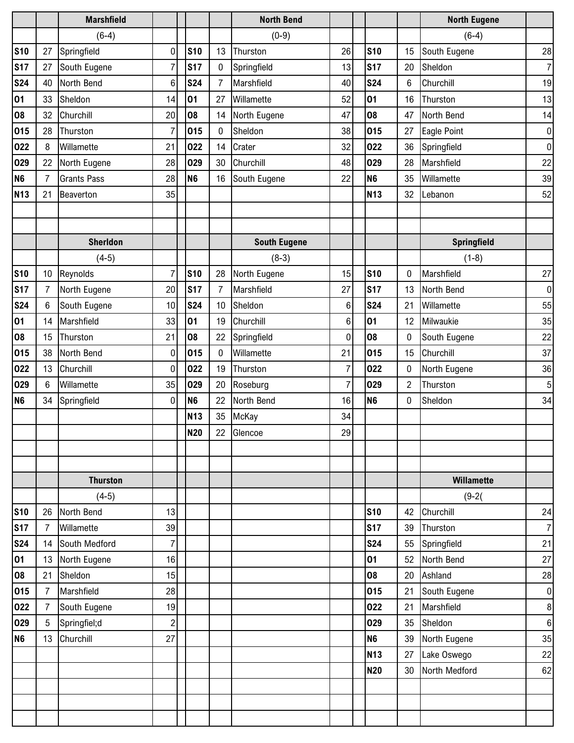|                |                 | <b>Marshfield</b>  |                |                |            |                | <b>North Bend</b>   |                |                |                | <b>North Eugene</b> |                  |
|----------------|-----------------|--------------------|----------------|----------------|------------|----------------|---------------------|----------------|----------------|----------------|---------------------|------------------|
|                |                 | $(6-4)$            |                |                |            |                | $(0-9)$             |                |                |                | $(6-4)$             |                  |
| <b>S10</b>     | 27              | Springfield        | $\mathbf 0$    |                | <b>S10</b> | 13             | Thurston            | 26             | <b>S10</b>     | 15             | South Eugene        | 28               |
| <b>S17</b>     | 27              | South Eugene       | $\overline{7}$ |                | <b>S17</b> | 0              | Springfield         | 13             | <b>S17</b>     | 20             | Sheldon             | $\overline{7}$   |
| <b>S24</b>     | 40              | North Bend         | $6\phantom{1}$ |                | <b>S24</b> | 7              | Marshfield          | 40             | <b>S24</b>     | 6              | Churchill           | 19               |
| 01             | 33              | Sheldon            | 14             | 01             |            | 27             | Willamette          | 52             | 01             | 16             | Thurston            | 13               |
| 08             | 32              | Churchill          | 20             | 08             |            | 14             | North Eugene        | 47             | 08             | 47             | North Bend          | 14               |
| 015            | 28              | Thurston           | $\overline{7}$ |                | 015        | $\pmb{0}$      | Sheldon             | 38             | 015            | 27             | Eagle Point         | $\pmb{0}$        |
| 022            | 8               | Willamette         | 21             |                | 022        | 14             | Crater              | 32             | 022            | 36             | Springfield         | $\boldsymbol{0}$ |
| 029            | 22              | North Eugene       | 28             |                | 029        | 30             | Churchill           | 48             | 029            | 28             | Marshfield          | 22               |
| N <sub>6</sub> | 7               | <b>Grants Pass</b> | 28             | N <sub>6</sub> |            | 16             | South Eugene        | 22             | N <sub>6</sub> | 35             | Willamette          | 39               |
| <b>N13</b>     | 21              | Beaverton          | 35             |                |            |                |                     |                | <b>N13</b>     | 32             | Lebanon             | 52               |
|                |                 |                    |                |                |            |                |                     |                |                |                |                     |                  |
|                |                 |                    |                |                |            |                |                     |                |                |                |                     |                  |
|                |                 | <b>Sherldon</b>    |                |                |            |                | <b>South Eugene</b> |                |                |                | Springfield         |                  |
|                |                 | $(4-5)$            |                |                |            |                | $(8-3)$             |                |                |                | $(1-8)$             |                  |
| <b>S10</b>     | 10              | Reynolds           | $\overline{7}$ |                | <b>S10</b> | 28             | North Eugene        | 15             | <b>S10</b>     | 0              | Marshfield          | $27\,$           |
| <b>S17</b>     | 7               | North Eugene       | 20             |                | <b>S17</b> | $\overline{7}$ | Marshfield          | 27             | <b>S17</b>     | 13             | North Bend          | $\pmb{0}$        |
| <b>S24</b>     | 6               | South Eugene       | 10             |                | <b>S24</b> | 10             | Sheldon             | 6              | <b>S24</b>     | 21             | Willamette          | 55               |
| 01             | 14              | Marshfield         | 33             | 01             |            | 19             | Churchill           | 6              | 01             | 12             | Milwaukie           | 35               |
| 08             | 15              | Thurston           | 21             |                | 08         | 22             | Springfield         | $\mathbf 0$    | 08             | 0              | South Eugene        | 22               |
| 015            | 38              | North Bend         | 0              |                | 015        | 0              | Willamette          | 21             | 015            | 15             | Churchill           | 37               |
| 022            | 13              | Churchill          | $\mathbf 0$    |                | 022        | 19             | Thurston            | $\overline{7}$ | 022            | 0              | North Eugene        | 36               |
| 029            | 6               | Willamette         | 35             |                | 029        | 20             | Roseburg            | $\overline{7}$ | 029            | $\overline{2}$ | Thurston            | 5                |
| <b>N6</b>      | 34              | Springfield        | 0              | <b>N6</b>      |            | 22             | North Bend          | 16             | N <sub>6</sub> | 0              | Sheldon             | 34               |
|                |                 |                    |                |                | <b>N13</b> | 35             | McKay               | 34             |                |                |                     |                  |
|                |                 |                    |                |                | <b>N20</b> | 22             | Glencoe             | 29             |                |                |                     |                  |
|                |                 |                    |                |                |            |                |                     |                |                |                |                     |                  |
|                |                 |                    |                |                |            |                |                     |                |                |                |                     |                  |
|                |                 | <b>Thurston</b>    |                |                |            |                |                     |                |                |                | Willamette          |                  |
|                |                 | $(4-5)$            |                |                |            |                |                     |                |                |                | $(9-2)$             |                  |
| <b>S10</b>     | 26              | North Bend         | 13             |                |            |                |                     |                | <b>S10</b>     | 42             | Churchill           | 24               |
| <b>S17</b>     | 7               | Willamette         | 39             |                |            |                |                     |                | <b>S17</b>     | 39             | Thurston            | $\boldsymbol{7}$ |
| <b>S24</b>     | 14              | South Medford      | $\overline{7}$ |                |            |                |                     |                | <b>S24</b>     | 55             | Springfield         | 21               |
| 01             | 13              | North Eugene       | 16             |                |            |                |                     |                | 01             | 52             | North Bend          | 27               |
| 08             | 21              | Sheldon            | 15             |                |            |                |                     |                | 08             | 20             | Ashland             | 28               |
| 015            | $\overline{7}$  | Marshfield         | 28             |                |            |                |                     |                | 015            | 21             | South Eugene        | $\pmb{0}$        |
| 022            | 7               | South Eugene       | 19             |                |            |                |                     |                | 022            | 21             | Marshfield          | $\bf 8$          |
| 029            | $5\overline{)}$ | Springfiel;d       | $\overline{2}$ |                |            |                |                     |                | 029            | 35             | Sheldon             | $\,6\,$          |
| N <sub>6</sub> | 13              | Churchill          | 27             |                |            |                |                     |                | N <sub>6</sub> | 39             | North Eugene        | 35               |
|                |                 |                    |                |                |            |                |                     |                | <b>N13</b>     | 27             | Lake Oswego         | 22               |
|                |                 |                    |                |                |            |                |                     |                | <b>N20</b>     | 30             | North Medford       | 62               |
|                |                 |                    |                |                |            |                |                     |                |                |                |                     |                  |
|                |                 |                    |                |                |            |                |                     |                |                |                |                     |                  |
|                |                 |                    |                |                |            |                |                     |                |                |                |                     |                  |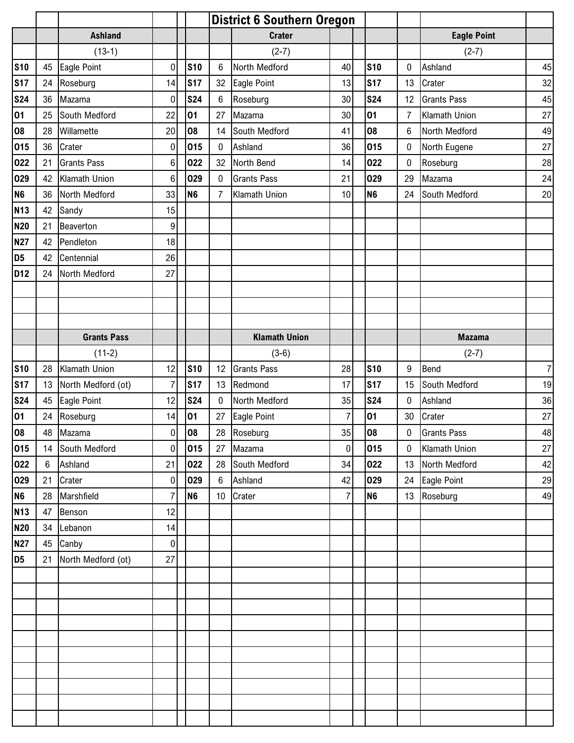|                 |                 |                    |                  |                |                 | <b>District 6 Southern Oregon</b> |                |                |              |                      |                  |
|-----------------|-----------------|--------------------|------------------|----------------|-----------------|-----------------------------------|----------------|----------------|--------------|----------------------|------------------|
|                 |                 | <b>Ashland</b>     |                  |                |                 | <b>Crater</b>                     |                |                |              | <b>Eagle Point</b>   |                  |
|                 |                 | $(13-1)$           |                  |                |                 | $(2-7)$                           |                |                |              | $(2-7)$              |                  |
| <b>S10</b>      | 45              | Eagle Point        | $\overline{0}$   | <b>S10</b>     | 6               | North Medford                     | 40             | <b>S10</b>     | 0            | Ashland              | 45               |
| <b>S17</b>      | 24              | Roseburg           | 14               | <b>S17</b>     | 32              | Eagle Point                       | 13             | <b>S17</b>     | 13           | Crater               | 32               |
| <b>S24</b>      | 36              | Mazama             | $\boldsymbol{0}$ | <b>S24</b>     | 6               | Roseburg                          | 30             | <b>S24</b>     | 12           | <b>Grants Pass</b>   | 45               |
| 01              | 25              | South Medford      | 22               | 01             | 27              | Mazama                            | 30             | 01             | 7            | <b>Klamath Union</b> | 27               |
| 08              | 28              | Willamette         | 20 <sup>°</sup>  | 08             | 14              | South Medford                     | 41             | 08             | 6            | North Medford        | 49               |
| 015             | 36              | Crater             | 0                | 015            | 0               | Ashland                           | 36             | 015            | 0            | North Eugene         | 27               |
| 022             | 21              | <b>Grants Pass</b> | 6                | 022            | 32              | North Bend                        | 14             | 022            | 0            | Roseburg             | 28               |
| 029             | 42              | Klamath Union      | 6                | 029            | $\pmb{0}$       | <b>Grants Pass</b>                | 21             | 029            | 29           | Mazama               | 24               |
| N <sub>6</sub>  | 36              | North Medford      | 33               | N <sub>6</sub> | $\overline{7}$  | Klamath Union                     | 10             | N <sub>6</sub> | 24           | South Medford        | $20\,$           |
| <b>N13</b>      | 42              | Sandy              | 15               |                |                 |                                   |                |                |              |                      |                  |
| <b>N20</b>      | 21              | Beaverton          | 9                |                |                 |                                   |                |                |              |                      |                  |
| <b>N27</b>      | 42              | Pendleton          | 18               |                |                 |                                   |                |                |              |                      |                  |
| D <sub>5</sub>  | 42              | Centennial         | 26               |                |                 |                                   |                |                |              |                      |                  |
| D <sub>12</sub> | 24              | North Medford      | 27               |                |                 |                                   |                |                |              |                      |                  |
|                 |                 |                    |                  |                |                 |                                   |                |                |              |                      |                  |
|                 |                 |                    |                  |                |                 |                                   |                |                |              |                      |                  |
|                 |                 |                    |                  |                |                 |                                   |                |                |              |                      |                  |
|                 |                 | <b>Grants Pass</b> |                  |                |                 | <b>Klamath Union</b>              |                |                |              | <b>Mazama</b>        |                  |
|                 |                 | $(11-2)$           |                  |                |                 | $(3-6)$                           |                |                |              | $(2-7)$              |                  |
| <b>S10</b>      | 28              | Klamath Union      | 12               | <b>S10</b>     | 12              | <b>Grants Pass</b>                | 28             | <b>S10</b>     | 9            | Bend                 | $\boldsymbol{7}$ |
| <b>S17</b>      | 13              | North Medford (ot) | $\overline{7}$   | <b>S17</b>     | 13              | Redmond                           | 17             | <b>S17</b>     | 15           | South Medford        | 19               |
| <b>S24</b>      | 45              | Eagle Point        | 12               | <b>S24</b>     | 0               | North Medford                     | 35             | <b>S24</b>     | 0            | Ashland              | 36               |
| 01              | 24              | Roseburg           | 14               | 01             | 27              | Eagle Point                       | $\overline{7}$ | 01             | 30           | Crater               | 27               |
| 08              |                 | 48 Mazama          | 0                | 08             |                 | 28 Roseburg                       | 35             | 08             | $\mathbf{0}$ | Grants Pass          | 48               |
| 015             | 14              | South Medford      | 0                | 015            | 27              | Mazama                            | $\overline{0}$ | 015            | $\mathbf 0$  | Klamath Union        | 27               |
| 022             | $6\phantom{.0}$ | Ashland            | 21               | 022            |                 | 28 South Medford                  | 34             | 022            | 13           | North Medford        | 42               |
| 029             | 21              | Crater             | $\overline{0}$   | 029            | $6\overline{6}$ | Ashland                           | 42             | 029            | 24           | Eagle Point          | 29               |
| N <sub>6</sub>  | 28              | Marshfield         | $\overline{7}$   | N <sub>6</sub> | 10 <sup>°</sup> | Crater                            | $\overline{7}$ | N <sub>6</sub> | 13           | Roseburg             | 49               |
| <b>N13</b>      | 47              | Benson             | 12               |                |                 |                                   |                |                |              |                      |                  |
| <b>N20</b>      | 34              | Lebanon            | 14               |                |                 |                                   |                |                |              |                      |                  |
| <b>N27</b>      | 45              | Canby              | $\overline{0}$   |                |                 |                                   |                |                |              |                      |                  |
| D <sub>5</sub>  | 21              | North Medford (ot) | 27               |                |                 |                                   |                |                |              |                      |                  |
|                 |                 |                    |                  |                |                 |                                   |                |                |              |                      |                  |
|                 |                 |                    |                  |                |                 |                                   |                |                |              |                      |                  |
|                 |                 |                    |                  |                |                 |                                   |                |                |              |                      |                  |
|                 |                 |                    |                  |                |                 |                                   |                |                |              |                      |                  |
|                 |                 |                    |                  |                |                 |                                   |                |                |              |                      |                  |
|                 |                 |                    |                  |                |                 |                                   |                |                |              |                      |                  |
|                 |                 |                    |                  |                |                 |                                   |                |                |              |                      |                  |
|                 |                 |                    |                  |                |                 |                                   |                |                |              |                      |                  |
|                 |                 |                    |                  |                |                 |                                   |                |                |              |                      |                  |
|                 |                 |                    |                  |                |                 |                                   |                |                |              |                      |                  |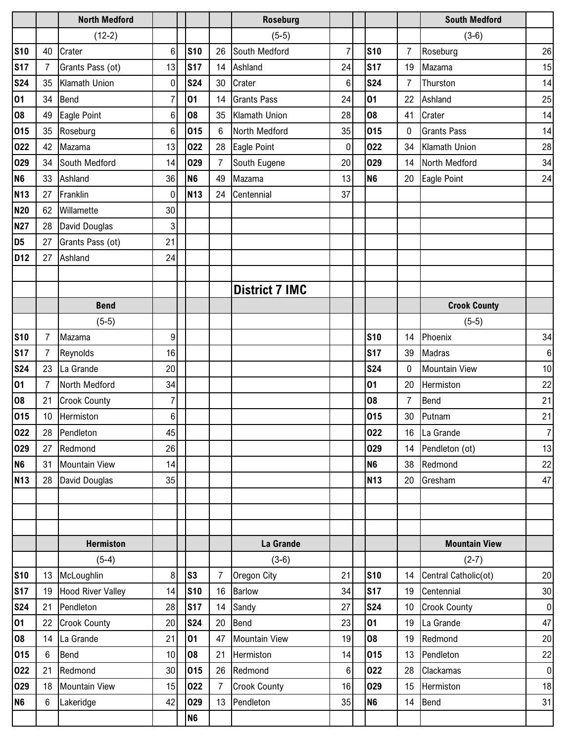|                 |                 | <b>North Medford</b>     |                |                |                | <b>Roseburg</b>       |                |                |                 | <b>South Medford</b> |                |
|-----------------|-----------------|--------------------------|----------------|----------------|----------------|-----------------------|----------------|----------------|-----------------|----------------------|----------------|
|                 |                 | $(12-2)$                 |                |                |                | $(5-5)$               |                |                |                 | $(3-6)$              |                |
| <b>S10</b>      | 40              | Crater                   | 6              | <b>S10</b>     | 26             | South Medford         | $\overline{7}$ | <b>S10</b>     | 7               | Roseburg             | 26             |
| <b>S17</b>      | 7               | Grants Pass (ot)         | 13             | <b>S17</b>     | 14             | Ashland               | 24             | <b>S17</b>     | 19              | Mazama               | 15             |
| <b>S24</b>      | 35              | Klamath Union            | 0              | <b>S24</b>     | 30             | Crater                | $6\phantom{1}$ | <b>S24</b>     | 7               | Thurston             | 14             |
| 01              | 34              | Bend                     | $\overline{7}$ | 01             | 14             | <b>Grants Pass</b>    | 24             | 01             | 22              | Ashland              | 25             |
| 08              | 49              | Eagle Point              | 6              | 08             | 35             | <b>Klamath Union</b>  | 28             | 08             | 41              | Crater               | 14             |
| 015             | 35              | Roseburg                 | $6\phantom{1}$ | 015            | 6              | North Medford         | 35             | 015            | 0               | <b>Grants Pass</b>   | 14             |
| 022             | 42              | Mazama                   | 13             | 022            | 28             | Eagle Point           | 0              | 022            | 34              | Klamath Union        | 28             |
| 029             | 34              | South Medford            | 14             | 029            | 7              | South Eugene          | 20             | 029            | 14              | North Medford        | 34             |
| N <sub>6</sub>  | 33              | Ashland                  | 36             | N <sub>6</sub> | 49             | Mazama                | 13             | N <sub>6</sub> | 20              | <b>Eagle Point</b>   | 24             |
| <b>N13</b>      | 27              | Franklin                 | $\mathbf 0$    | <b>N13</b>     | 24             | Centennial            | 37             |                |                 |                      |                |
| <b>N20</b>      | 62              | Willamette               | 30             |                |                |                       |                |                |                 |                      |                |
| <b>N27</b>      | 28              | David Douglas            | 3              |                |                |                       |                |                |                 |                      |                |
| D <sub>5</sub>  | 27              | Grants Pass (ot)         | 21             |                |                |                       |                |                |                 |                      |                |
| D <sub>12</sub> | 27              | Ashland                  | 24             |                |                |                       |                |                |                 |                      |                |
|                 |                 |                          |                |                |                |                       |                |                |                 |                      |                |
|                 |                 |                          |                |                |                | <b>District 7 IMC</b> |                |                |                 |                      |                |
|                 |                 | <b>Bend</b>              |                |                |                |                       |                |                |                 | <b>Crook County</b>  |                |
|                 |                 | $(5-5)$                  |                |                |                |                       |                |                |                 | $(5-5)$              |                |
| <b>S10</b>      | 7               | Mazama                   | 9              |                |                |                       |                | <b>S10</b>     | 14              | Phoenix              | 34             |
| <b>S17</b>      | 7               | Reynolds                 | 16             |                |                |                       |                | <b>S17</b>     | 39              | Madras               | 6              |
| <b>S24</b>      | 23              | La Grande                | 20             |                |                |                       |                | <b>S24</b>     | 0               | <b>Mountain View</b> | 10             |
| 01              | 7               | North Medford            | 34             |                |                |                       |                | 01             | 20              | Hermiston            | 22             |
| 08              | 21              | <b>Crook County</b>      | $\overline{7}$ |                |                |                       |                | 08             | 7               | <b>Bend</b>          | 21             |
| 015             | 10              | Hermiston                | 6              |                |                |                       |                | 015            | 30              | Putnam               | 21             |
| 022             | 28              | Pendleton                | 45             |                |                |                       |                | 022            |                 | 16 La Grande         | $\overline{7}$ |
| 029             | 27              | Redmond                  | 26             |                |                |                       |                | 029            | 14              | Pendleton (ot)       | 13             |
| N <sub>6</sub>  | 31              | <b>Mountain View</b>     | 14             |                |                |                       |                | N <sub>6</sub> | 38              | Redmond              | 22             |
| <b>N13</b>      | 28              | David Douglas            | 35             |                |                |                       |                | <b>N13</b>     | 20              | Gresham              | 47             |
|                 |                 |                          |                |                |                |                       |                |                |                 |                      |                |
|                 |                 |                          |                |                |                |                       |                |                |                 |                      |                |
|                 |                 |                          |                |                |                |                       |                |                |                 |                      |                |
|                 |                 | <b>Hermiston</b>         |                |                |                | La Grande             |                |                |                 | <b>Mountain View</b> |                |
|                 |                 | $(5-4)$                  |                |                |                | $(3-6)$               |                |                |                 | $(2-7)$              |                |
| <b>S10</b>      | 13              | McLoughlin               | 8              | S <sub>3</sub> | 7              | Oregon City           | 21             | <b>S10</b>     | 14              | Central Catholic(ot) | 20             |
| <b>S17</b>      | 19              | <b>Hood River Valley</b> | 14             | <b>S10</b>     | 16             | Barlow                | 34             | <b>S17</b>     | 19              | Centennial           | 30             |
| <b>S24</b>      | 21              | Pendleton                | 28             | <b>S17</b>     | 14             | Sandy                 | 27             | <b>S24</b>     | 10 <sup>°</sup> | <b>Crook County</b>  | $\pmb{0}$      |
| 01              | 22              | <b>Crook County</b>      | 20             | <b>S24</b>     | 20             | <b>Bend</b>           | 23             | 01             | 19              | La Grande            | 47             |
| 08              | 14              | La Grande                | 21             | 01             | 47             | <b>Mountain View</b>  | 19             | 08             | 19              | Redmond              | 20             |
| 015             | 6               | Bend                     | 10             | 08             | 21             | Hermiston             | 14             | 015            | 13              | Pendleton            | 22             |
| 022             | 21              | Redmond                  | 30             | 015            | 26             | Redmond               | $6\phantom{.}$ | 022            | 28              | Clackamas            | $\pmb{0}$      |
| 029             | 18              | <b>Mountain View</b>     | 15             | 022            | $\overline{7}$ | <b>Crook County</b>   | 16             | 029            | 15              | Hermiston            | 18             |
| N <sub>6</sub>  | $6\phantom{.0}$ | Lakeridge                | 42             | 029            | 13             | Pendleton             | 35             | N <sub>6</sub> | 14              | Bend                 | 31             |
|                 |                 |                          |                | N <sub>6</sub> |                |                       |                |                |                 |                      |                |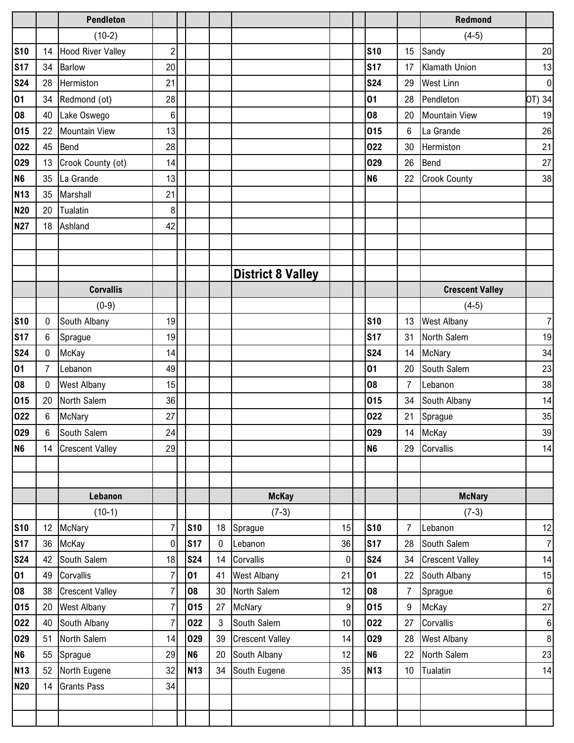|                |                 | <b>Pendleton</b>         |                |                |    |                          |             |                |                | Redmond                |                  |
|----------------|-----------------|--------------------------|----------------|----------------|----|--------------------------|-------------|----------------|----------------|------------------------|------------------|
|                |                 | $(10-2)$                 |                |                |    |                          |             |                |                | $(4-5)$                |                  |
| <b>S10</b>     | 14              | <b>Hood River Valley</b> | $\overline{c}$ |                |    |                          |             | <b>S10</b>     | 15             | Sandy                  | 20               |
| <b>S17</b>     | 34              | <b>Barlow</b>            | 20             |                |    |                          |             | <b>S17</b>     | 17             | Klamath Union          | 13               |
| <b>S24</b>     | 28              | Hermiston                | 21             |                |    |                          |             | <b>S24</b>     | 29             | <b>West Linn</b>       | $\pmb{0}$        |
| 01             | 34              | Redmond (ot)             | 28             |                |    |                          |             | 01             | 28             | Pendleton              | OT) 34           |
| 08             | 40              | Lake Oswego              | 6              |                |    |                          |             | 08             | 20             | <b>Mountain View</b>   | 19               |
| 015            | 22              | <b>Mountain View</b>     | 13             |                |    |                          |             | 015            | 6              | La Grande              | 26               |
| 022            | 45              | <b>Bend</b>              | 28             |                |    |                          |             | 022            | 30             | Hermiston              | 21               |
| 029            | 13              | Crook County (ot)        | 14             |                |    |                          |             | 029            | 26             | <b>Bend</b>            | 27               |
| N <sub>6</sub> | 35              | La Grande                | 13             |                |    |                          |             | N <sub>6</sub> | 22             | <b>Crook County</b>    | 38               |
| <b>N13</b>     | 35              | Marshall                 | 21             |                |    |                          |             |                |                |                        |                  |
| <b>N20</b>     | 20              | Tualatin                 | 8              |                |    |                          |             |                |                |                        |                  |
| <b>N27</b>     | 18              | Ashland                  | 42             |                |    |                          |             |                |                |                        |                  |
|                |                 |                          |                |                |    |                          |             |                |                |                        |                  |
|                |                 |                          |                |                |    |                          |             |                |                |                        |                  |
|                |                 |                          |                |                |    | <b>District 8 Valley</b> |             |                |                |                        |                  |
|                |                 | <b>Corvallis</b>         |                |                |    |                          |             |                |                | <b>Crescent Valley</b> |                  |
|                |                 | $(0-9)$                  |                |                |    |                          |             |                |                | $(4-5)$                |                  |
| <b>S10</b>     | 0               | South Albany             | 19             |                |    |                          |             | <b>S10</b>     | 13             | <b>West Albany</b>     | $\overline{7}$   |
| <b>S17</b>     | $6\phantom{.0}$ | Sprague                  | 19             |                |    |                          |             | <b>S17</b>     | 31             | North Salem            | 19               |
| <b>S24</b>     | 0               | McKay                    | 14             |                |    |                          |             | <b>S24</b>     | 14             | McNary                 | 34               |
| 01             | 7               | Lebanon                  | 49             |                |    |                          |             | 01             | 20             | South Salem            | 23               |
| 08             | 0               | <b>West Albany</b>       | 15             |                |    |                          |             | 08             | $\overline{7}$ | Lebanon                | 38               |
| 015            | 20              | North Salem              | 36             |                |    |                          |             | 015            | 34             | South Albany           | 14               |
| 022            | 6               | McNary                   | 27             |                |    |                          |             | 022            | 21             | Sprague                | 35               |
| 029            | 6               | South Salem              | 24             |                |    |                          |             | 029            |                | 14 McKay               | 39               |
| <b>N6</b>      | 14              | <b>Crescent Valley</b>   | 29             |                |    |                          |             | N <sub>6</sub> | 29             | Corvallis              | 14               |
|                |                 |                          |                |                |    |                          |             |                |                |                        |                  |
|                |                 |                          |                |                |    |                          |             |                |                |                        |                  |
|                |                 | Lebanon                  |                |                |    | <b>McKay</b>             |             |                |                | <b>McNary</b>          |                  |
|                |                 | $(10-1)$                 |                |                |    | $(7-3)$                  |             |                |                | $(7-3)$                |                  |
| <b>S10</b>     | 12              | <b>McNary</b>            | $\overline{7}$ | <b>S10</b>     | 18 | Sprague                  | 15          | <b>S10</b>     | 7              | Lebanon                | 12               |
| <b>S17</b>     | 36              | McKay                    | 0              | <b>S17</b>     | 0  | Lebanon                  | 36          | <b>S17</b>     | 28             | South Salem            | $\boldsymbol{7}$ |
| <b>S24</b>     | 42              | South Salem              | 18             | <b>S24</b>     | 14 | Corvallis                | $\mathbf 0$ | <b>S24</b>     | 34             | <b>Crescent Valley</b> | 14               |
| 01             | 49              | Corvallis                | $\overline{7}$ | 01             | 41 | <b>West Albany</b>       | 21          | 01             | 22             | South Albany           | 15               |
| 08             | 38              | <b>Crescent Valley</b>   | $\overline{7}$ | 08             | 30 | North Salem              | 12          | 08             | $\overline{7}$ | Sprague                | $\boldsymbol{6}$ |
| 015            | 20              | <b>West Albany</b>       | $\overline{7}$ | 015            | 27 | McNary                   | 9           | 015            | 9              | McKay                  | 27               |
| 022            | 40              | South Albany             | $\overline{7}$ | 022            | 3  | South Salem              | 10          | 022            | 27             | Corvallis              | $\,6\,$          |
| 029            | 51              | North Salem              | 14             | 029            | 39 | <b>Crescent Valley</b>   | 14          | 029            | 28             | <b>West Albany</b>     | $\,8\,$          |
| N <sub>6</sub> | 55              | Sprague                  | 29             | N <sub>6</sub> | 20 | South Albany             | 12          | N <sub>6</sub> | 22             | North Salem            | 23               |
| <b>N13</b>     | 52              | North Eugene             | 32             | <b>N13</b>     | 34 | South Eugene             | 35          | <b>N13</b>     | 10             | Tualatin               | 14               |
| <b>N20</b>     | 14              | <b>Grants Pass</b>       | 34             |                |    |                          |             |                |                |                        |                  |
|                |                 |                          |                |                |    |                          |             |                |                |                        |                  |
|                |                 |                          |                |                |    |                          |             |                |                |                        |                  |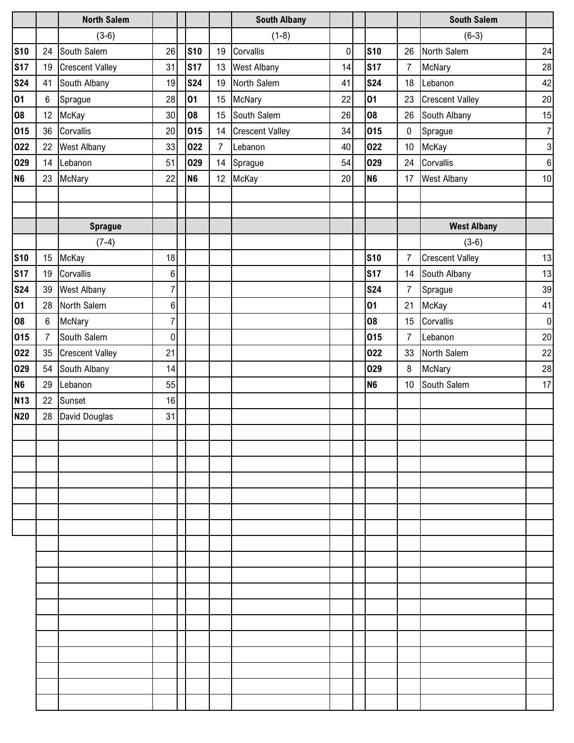|                |                | <b>North Salem</b>     |                  |                |                | <b>South Albany</b>    |           |                |                | <b>South Salem</b>     |                  |
|----------------|----------------|------------------------|------------------|----------------|----------------|------------------------|-----------|----------------|----------------|------------------------|------------------|
|                |                | $(3-6)$                |                  |                |                | $(1-8)$                |           |                |                | $(6-3)$                |                  |
| <b>S10</b>     | 24             | South Salem            | 26               | <b>S10</b>     | 19             | Corvallis              | $\pmb{0}$ | <b>S10</b>     | 26             | North Salem            | 24               |
| <b>S17</b>     | 19             | <b>Crescent Valley</b> | 31               | <b>S17</b>     | 13             | <b>West Albany</b>     | 14        | <b>S17</b>     | $\overline{7}$ | McNary                 | 28               |
| <b>S24</b>     | 41             | South Albany           | 19               | <b>S24</b>     | 19             | North Salem            | 41        | <b>S24</b>     | 18             | Lebanon                | 42               |
| 01             | 6              | Sprague                | 28               | 01             | 15             | McNary                 | 22        | 01             | 23             | <b>Crescent Valley</b> | 20               |
| 08             | 12             | McKay                  | 30               | 08             | 15             | South Salem            | 26        | 08             | 26             | South Albany           | 15               |
| 015            | 36             | Corvallis              | 20               | 015            | 14             | <b>Crescent Valley</b> | 34        | 015            | $\mathbf 0$    | Sprague                | $\overline{7}$   |
| 022            | 22             | <b>West Albany</b>     | 33               | 022            | $\overline{7}$ | Lebanon                | 40        | 022            | 10             | McKay                  | $\mathbf{3}$     |
| 029            | 14             | Lebanon                | 51               | 029            | 14             | Sprague                | 54        | 029            | 24             | Corvallis              | $\boldsymbol{6}$ |
| N <sub>6</sub> | 23             | <b>McNary</b>          | 22               | N <sub>6</sub> | 12             | McKay                  | 20        | N <sub>6</sub> | 17             | <b>West Albany</b>     | 10               |
|                |                |                        |                  |                |                |                        |           |                |                |                        |                  |
|                |                |                        |                  |                |                |                        |           |                |                |                        |                  |
|                |                | <b>Sprague</b>         |                  |                |                |                        |           |                |                | <b>West Albany</b>     |                  |
|                |                | $(7-4)$                |                  |                |                |                        |           |                |                | $(3-6)$                |                  |
| <b>S10</b>     | 15             | McKay                  | 18               |                |                |                        |           | <b>S10</b>     | $\overline{7}$ | <b>Crescent Valley</b> | 13               |
| <b>S17</b>     | 19             | Corvallis              | $\,6$            |                |                |                        |           | <b>S17</b>     | 14             | South Albany           | 13               |
| <b>S24</b>     | 39             | <b>West Albany</b>     | $\overline{7}$   |                |                |                        |           | <b>S24</b>     | $\overline{7}$ | Sprague                | 39               |
| 01             | 28             | North Salem            | $\boldsymbol{6}$ |                |                |                        |           | 01             | 21             | McKay                  | 41               |
| 08             | 6              | McNary                 | $\overline{7}$   |                |                |                        |           | 08             | 15             | Corvallis              | $\boldsymbol{0}$ |
| 015            | $\overline{7}$ | South Salem            | $\boldsymbol{0}$ |                |                |                        |           | 015            | $\overline{7}$ | Lebanon                | 20               |
| 022            | 35             | <b>Crescent Valley</b> | 21               |                |                |                        |           | 022            | 33             | North Salem            | 22               |
| 029            | 54             | South Albany           | 14               |                |                |                        |           | 029            | 8              | McNary                 | 28               |
| N <sub>6</sub> | 29             | Lebanon                | 55               |                |                |                        |           | N <sub>6</sub> | 10             | South Salem            | 17               |
| <b>N13</b>     | 22             | Sunset                 | 16               |                |                |                        |           |                |                |                        |                  |
| <b>N20</b>     | 28             | David Douglas          | 31               |                |                |                        |           |                |                |                        |                  |
|                |                |                        |                  |                |                |                        |           |                |                |                        |                  |
|                |                |                        |                  |                |                |                        |           |                |                |                        |                  |
|                |                |                        |                  |                |                |                        |           |                |                |                        |                  |
|                |                |                        |                  |                |                |                        |           |                |                |                        |                  |
|                |                |                        |                  |                |                |                        |           |                |                |                        |                  |
|                |                |                        |                  |                |                |                        |           |                |                |                        |                  |
|                |                |                        |                  |                |                |                        |           |                |                |                        |                  |
|                |                |                        |                  |                |                |                        |           |                |                |                        |                  |
|                |                |                        |                  |                |                |                        |           |                |                |                        |                  |
|                |                |                        |                  |                |                |                        |           |                |                |                        |                  |
|                |                |                        |                  |                |                |                        |           |                |                |                        |                  |
|                |                |                        |                  |                |                |                        |           |                |                |                        |                  |
|                |                |                        |                  |                |                |                        |           |                |                |                        |                  |
|                |                |                        |                  |                |                |                        |           |                |                |                        |                  |
|                |                |                        |                  |                |                |                        |           |                |                |                        |                  |
|                |                |                        |                  |                |                |                        |           |                |                |                        |                  |
|                |                |                        |                  |                |                |                        |           |                |                |                        |                  |
|                |                |                        |                  |                |                |                        |           |                |                |                        |                  |
|                |                |                        |                  |                |                |                        |           |                |                |                        |                  |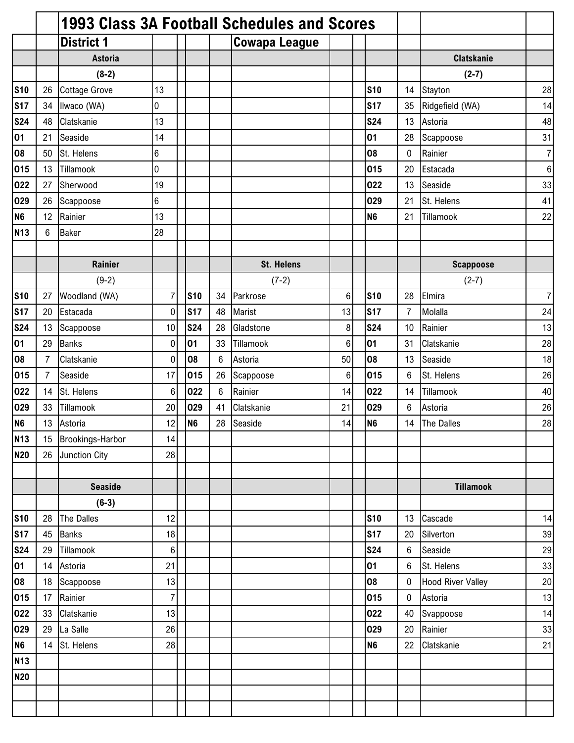|                |                |                      |                |                |    | 1993 Class 3A Football Schedules and Scores |                 |                |                |                          |                 |
|----------------|----------------|----------------------|----------------|----------------|----|---------------------------------------------|-----------------|----------------|----------------|--------------------------|-----------------|
|                |                | <b>District 1</b>    |                |                |    | <b>Cowapa League</b>                        |                 |                |                |                          |                 |
|                |                | <b>Astoria</b>       |                |                |    |                                             |                 |                |                | <b>Clatskanie</b>        |                 |
|                |                | $(8-2)$              |                |                |    |                                             |                 |                |                | $(2-7)$                  |                 |
| <b>S10</b>     | 26             | <b>Cottage Grove</b> | 13             |                |    |                                             |                 | <b>S10</b>     | 14             | Stayton                  | 28              |
| <b>S17</b>     | 34             | Ilwaco (WA)          | 0              |                |    |                                             |                 | <b>S17</b>     | 35             | Ridgefield (WA)          | 14              |
| <b>S24</b>     | 48             | Clatskanie           | 13             |                |    |                                             |                 | <b>S24</b>     | 13             | Astoria                  | 48              |
| 01             | 21             | Seaside              | 14             |                |    |                                             |                 | 01             | 28             | Scappoose                | 31              |
| 08             | 50             | St. Helens           | 6              |                |    |                                             |                 | 08             | $\mathbf 0$    | Rainier                  | $\overline{7}$  |
| 015            | 13             | Tillamook            | 0              |                |    |                                             |                 | 015            | 20             | Estacada                 | $6\phantom{1}6$ |
| 022            | 27             | Sherwood             | 19             |                |    |                                             |                 | 022            | 13             | Seaside                  | 33              |
| 029            | 26             | Scappoose            | 6              |                |    |                                             |                 | 029            | 21             | St. Helens               | 41              |
| N <sub>6</sub> | 12             | Rainier              | 13             |                |    |                                             |                 | N <sub>6</sub> | 21             | Tillamook                | 22              |
| <b>N13</b>     | 6              | <b>Baker</b>         | 28             |                |    |                                             |                 |                |                |                          |                 |
|                |                |                      |                |                |    |                                             |                 |                |                |                          |                 |
|                |                | <b>Rainier</b>       |                |                |    | <b>St. Helens</b>                           |                 |                |                | <b>Scappoose</b>         |                 |
|                |                | $(9-2)$              |                |                |    | $(7-2)$                                     |                 |                |                | $(2-7)$                  |                 |
| <b>S10</b>     | 27             | Woodland (WA)        | $\overline{7}$ | <b>S10</b>     | 34 | Parkrose                                    | $6\phantom{1}6$ | <b>S10</b>     | 28             | Elmira                   | $\overline{7}$  |
| <b>S17</b>     | 20             | Estacada             | $\mathbf 0$    | <b>S17</b>     | 48 | Marist                                      | 13              | <b>S17</b>     | $\overline{7}$ | Molalla                  | 24              |
| <b>S24</b>     | 13             | Scappoose            | 10             | <b>S24</b>     | 28 | Gladstone                                   | 8               | <b>S24</b>     | 10             | Rainier                  | 13              |
| 01             | 29             | <b>Banks</b>         | 0              | 01             | 33 | Tillamook                                   | $6\phantom{1}6$ | 01             | 31             | Clatskanie               | 28              |
| 08             | $\overline{7}$ | Clatskanie           | $\mathbf 0$    | 08             | 6  | Astoria                                     | 50              | 08             | 13             | Seaside                  | 18              |
| 015            | $\overline{7}$ | Seaside              | 17             | 015            | 26 | Scappoose                                   | $\,6$           | 015            | 6              | St. Helens               | 26              |
| 022            | 14             | St. Helens           | 6              | 022            | 6  | Rainier                                     | 14              | 022            | 14             | Tillamook                | 40              |
| 029            | 33             | Tillamook            | 20             | 029            | 41 | Clatskanie                                  | 21              | 029            | 6              | Astoria                  | 26              |
| N <sub>6</sub> | 13             | Astoria              | 12             | N <sub>6</sub> | 28 | Seaside                                     | 14              | N <sub>6</sub> | 14             | The Dalles               | 28              |
| <b>N13</b>     | 15             | Brookings-Harbor     | 14             |                |    |                                             |                 |                |                |                          |                 |
| <b>N20</b>     | 26             | Junction City        | 28             |                |    |                                             |                 |                |                |                          |                 |
|                |                |                      |                |                |    |                                             |                 |                |                |                          |                 |
|                |                | <b>Seaside</b>       |                |                |    |                                             |                 |                |                | <b>Tillamook</b>         |                 |
|                |                | $(6-3)$              |                |                |    |                                             |                 |                |                |                          |                 |
| <b>S10</b>     | 28             | <b>The Dalles</b>    | 12             |                |    |                                             |                 | <b>S10</b>     | 13             | Cascade                  | 14              |
| <b>S17</b>     | 45             | <b>Banks</b>         | 18             |                |    |                                             |                 | <b>S17</b>     | 20             | Silverton                | 39              |
| <b>S24</b>     | 29             | Tillamook            | 6              |                |    |                                             |                 | <b>S24</b>     | 6              | Seaside                  | 29              |
| 01             | 14             | Astoria              | 21             |                |    |                                             |                 | 01             | 6              | St. Helens               | 33              |
| 08             | 18             | Scappoose            | 13             |                |    |                                             |                 | 08             | $\mathbf 0$    | <b>Hood River Valley</b> | 20              |
| 015            | 17             | Rainier              | $\overline{7}$ |                |    |                                             |                 | 015            | $\mathbf 0$    | Astoria                  | 13              |
| 022            | 33             | Clatskanie           | 13             |                |    |                                             |                 | 022            | 40             | Svappoose                | 14              |
| 029            | 29             | La Salle             | 26             |                |    |                                             |                 | 029            | 20             | Rainier                  | 33              |
| N <sub>6</sub> | 14             | St. Helens           | 28             |                |    |                                             |                 | N <sub>6</sub> | 22             | Clatskanie               | 21              |
| <b>N13</b>     |                |                      |                |                |    |                                             |                 |                |                |                          |                 |
| <b>N20</b>     |                |                      |                |                |    |                                             |                 |                |                |                          |                 |
|                |                |                      |                |                |    |                                             |                 |                |                |                          |                 |
|                |                |                      |                |                |    |                                             |                 |                |                |                          |                 |
|                |                |                      |                |                |    |                                             |                 |                |                |                          |                 |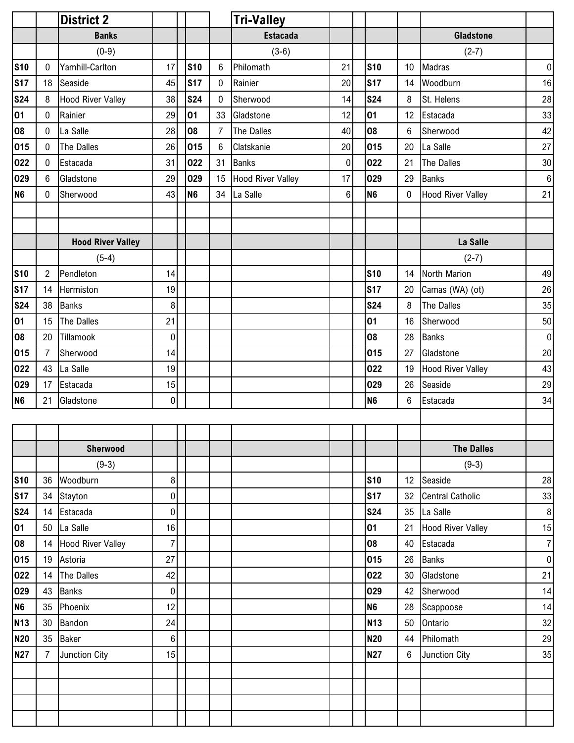|                |                | <b>District 2</b>        |                  |                |            |                | Tri-Valley        |                 |                |                 |                          |                |
|----------------|----------------|--------------------------|------------------|----------------|------------|----------------|-------------------|-----------------|----------------|-----------------|--------------------------|----------------|
|                |                | <b>Banks</b>             |                  |                |            |                | <b>Estacada</b>   |                 |                |                 | <b>Gladstone</b>         |                |
|                |                | $(0-9)$                  |                  |                |            |                | $(3-6)$           |                 |                |                 | $(2-7)$                  |                |
| <b>S10</b>     | 0              | Yamhill-Carlton          | 17               |                | <b>S10</b> | 6              | Philomath         | 21              | <b>S10</b>     | 10 <sup>°</sup> | Madras                   | $\pmb{0}$      |
| <b>S17</b>     | 18             | Seaside                  | 45               |                | <b>S17</b> | $\mathbf 0$    | Rainier           | 20              | <b>S17</b>     | 14              | Woodburn                 | 16             |
| <b>S24</b>     | 8              | <b>Hood River Valley</b> | 38               |                | <b>S24</b> | $\pmb{0}$      | Sherwood          | 14              | <b>S24</b>     | 8               | St. Helens               | 28             |
| 01             | 0              | Rainier                  | 29               | 01             |            | 33             | Gladstone         | 12              | 01             | 12              | Estacada                 | 33             |
| 08             | 0              | La Salle                 | 28               | 08             |            | 7              | The Dalles        | 40              | 08             | 6               | Sherwood                 | 42             |
| 015            | 0              | The Dalles               | 26               |                | 015        | $6\phantom{.}$ | Clatskanie        | 20              | 015            | 20              | La Salle                 | 27             |
| 022            | 0              | Estacada                 | 31               |                | 022        | 31             | <b>Banks</b>      | $\mathbf 0$     | 022            | 21              | The Dalles               | 30             |
| 029            | 6              | Gladstone                | 29               |                | 029        | 15             | Hood River Valley | 17 <sup>1</sup> | 029            | 29              | <b>Banks</b>             | $\,6\,$        |
| N <sub>6</sub> | 0              | Sherwood                 | 43               | N <sub>6</sub> |            | 34             | La Salle          | 6 <sup>1</sup>  | N <sub>6</sub> | $\mathbf 0$     | <b>Hood River Valley</b> | 21             |
|                |                |                          |                  |                |            |                |                   |                 |                |                 |                          |                |
|                |                |                          |                  |                |            |                |                   |                 |                |                 |                          |                |
|                |                | <b>Hood River Valley</b> |                  |                |            |                |                   |                 |                |                 | La Salle                 |                |
|                |                | $(5-4)$                  |                  |                |            |                |                   |                 |                |                 | $(2-7)$                  |                |
| <b>S10</b>     | $\overline{2}$ | Pendleton                | 14               |                |            |                |                   |                 | <b>S10</b>     | 14              | North Marion             | 49             |
| <b>S17</b>     | 14             | Hermiston                | 19               |                |            |                |                   |                 | <b>S17</b>     | 20              | Camas (WA) (ot)          | 26             |
| <b>S24</b>     | 38             | <b>Banks</b>             | 8                |                |            |                |                   |                 | <b>S24</b>     | 8               | The Dalles               | 35             |
| 01             | 15             | <b>The Dalles</b>        | 21               |                |            |                |                   |                 | 01             | 16              | Sherwood                 | 50             |
| 08             | 20             | Tillamook                | $\overline{0}$   |                |            |                |                   |                 | 08             | 28              | <b>Banks</b>             | $\pmb{0}$      |
| 015            | $\overline{7}$ | Sherwood                 | 14               |                |            |                |                   |                 | 015            | 27              | Gladstone                | 20             |
| 022            | 43             | La Salle                 | 19               |                |            |                |                   |                 | 022            | 19              | <b>Hood River Valley</b> | 43             |
| 029            | 17             | Estacada                 | 15               |                |            |                |                   |                 | 029            | 26              | Seaside                  | 29             |
| N <sub>6</sub> | 21             | Gladstone                | $\overline{0}$   |                |            |                |                   |                 | <b>N6</b>      | 6               | Estacada                 | 34             |
|                |                |                          |                  |                |            |                |                   |                 |                |                 |                          |                |
|                |                |                          |                  |                |            |                |                   |                 |                |                 |                          |                |
|                |                | <b>Sherwood</b>          |                  |                |            |                |                   |                 |                |                 | <b>The Dalles</b>        |                |
|                |                | $(9-3)$                  |                  |                |            |                |                   |                 |                |                 | $(9-3)$                  |                |
| <b>S10</b>     | 36             | Woodburn                 | 8 <sup>1</sup>   |                |            |                |                   |                 | <b>S10</b>     | 12              | Seaside                  | 28             |
| <b>S17</b>     | 34             | Stayton                  | 0                |                |            |                |                   |                 | <b>S17</b>     | 32              | <b>Central Catholic</b>  | 33             |
| <b>S24</b>     | 14             | Estacada                 | $\overline{0}$   |                |            |                |                   |                 | <b>S24</b>     | 35              | La Salle                 | $\,8\,$        |
| 01             | 50             | La Salle                 | 16               |                |            |                |                   |                 | 01             | 21              | <b>Hood River Valley</b> | 15             |
| 08             |                | 14 Hood River Valley     | $\overline{7}$   |                |            |                |                   |                 | 08             | 40              | Estacada                 | $\overline{7}$ |
| 015            | 19             | Astoria                  | 27               |                |            |                |                   |                 | 015            | 26              | <b>Banks</b>             | $\pmb{0}$      |
| 022            | 14             | The Dalles               | 42               |                |            |                |                   |                 | 022            | 30              | Gladstone                | 21             |
| 029            | 43             | <b>Banks</b>             | $\boldsymbol{0}$ |                |            |                |                   |                 | 029            | 42              | Sherwood                 | 14             |
| N <sub>6</sub> | 35             | Phoenix                  | 12               |                |            |                |                   |                 | N <sub>6</sub> | 28              | Scappoose                | 14             |
| <b>N13</b>     | 30             | Bandon                   | 24               |                |            |                |                   |                 | <b>N13</b>     | 50              | Ontario                  | 32             |
| <b>N20</b>     | 35             | <b>Baker</b>             | $6\phantom{.}$   |                |            |                |                   |                 | N20            | 44              | Philomath                | 29             |
| <b>N27</b>     | $\overline{7}$ | Junction City            | 15               |                |            |                |                   |                 | <b>N27</b>     | 6               | Junction City            | 35             |
|                |                |                          |                  |                |            |                |                   |                 |                |                 |                          |                |
|                |                |                          |                  |                |            |                |                   |                 |                |                 |                          |                |
|                |                |                          |                  |                |            |                |                   |                 |                |                 |                          |                |
|                |                |                          |                  |                |            |                |                   |                 |                |                 |                          |                |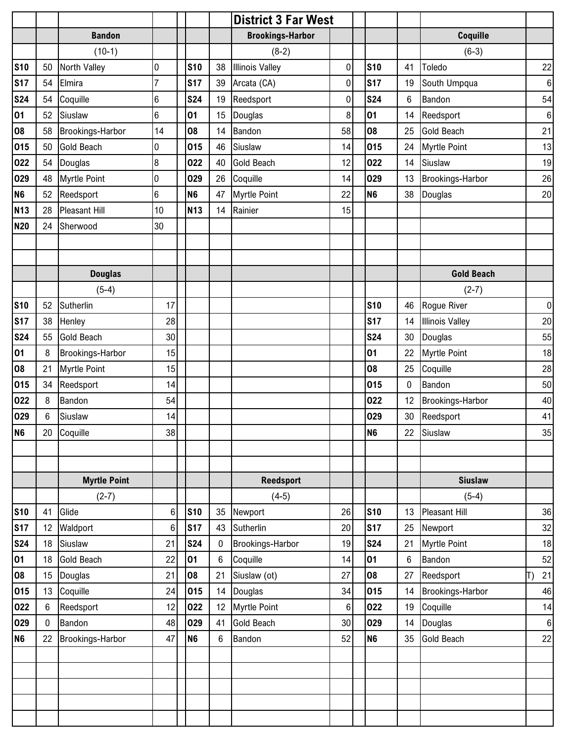|                |        |                      |                 |                 |    | <b>District 3 Far West</b> |                  |                |    |                        |                  |
|----------------|--------|----------------------|-----------------|-----------------|----|----------------------------|------------------|----------------|----|------------------------|------------------|
|                |        | <b>Bandon</b>        |                 |                 |    | <b>Brookings-Harbor</b>    |                  |                |    | Coquille               |                  |
|                |        | $(10-1)$             |                 |                 |    | $(8-2)$                    |                  |                |    | $(6-3)$                |                  |
| <b>S10</b>     | 50     | North Valley         | 0               | <b>S10</b>      | 38 | <b>Illinois Valley</b>     | $\pmb{0}$        | <b>S10</b>     | 41 | Toledo                 | 22               |
| <b>S17</b>     | 54     | Elmira               | 7               | <b>S17</b>      | 39 | Arcata (CA)                | $\boldsymbol{0}$ | <b>S17</b>     | 19 | South Umpqua           | $\,6\,$          |
| <b>S24</b>     | 54     | Coquille             | 6               | <b>S24</b>      | 19 | Reedsport                  | 0                | <b>S24</b>     | 6  | Bandon                 | 54               |
| 01             | 52     | Siuslaw              | 6               | 01              | 15 | Douglas                    | 8                | 01             | 14 | Reedsport              | $\boldsymbol{6}$ |
| 08             | 58     | Brookings-Harbor     | 14              | 08              | 14 | Bandon                     | 58               | 08             | 25 | <b>Gold Beach</b>      | 21               |
| 015            | 50     | <b>Gold Beach</b>    | 0               | 015             | 46 | Siuslaw                    | 14               | 015            | 24 | <b>Myrtle Point</b>    | 13               |
| 022            | 54     | Douglas              | 8               | 022             | 40 | <b>Gold Beach</b>          | 12               | 022            | 14 | Siuslaw                | 19               |
| 029            | 48     | <b>Myrtle Point</b>  | 0               | 029             | 26 | Coquille                   | 14               | 029            | 13 | Brookings-Harbor       | 26               |
| N <sub>6</sub> | 52     | Reedsport            | 6               | N <sub>6</sub>  | 47 | <b>Myrtle Point</b>        | 22               | N <sub>6</sub> | 38 | Douglas                | 20               |
| <b>N13</b>     | 28     | <b>Pleasant Hill</b> | 10              | N <sub>13</sub> | 14 | Rainier                    | 15               |                |    |                        |                  |
| <b>N20</b>     | 24     | Sherwood             | 30              |                 |    |                            |                  |                |    |                        |                  |
|                |        |                      |                 |                 |    |                            |                  |                |    |                        |                  |
|                |        |                      |                 |                 |    |                            |                  |                |    |                        |                  |
|                |        | <b>Douglas</b>       |                 |                 |    |                            |                  |                |    | <b>Gold Beach</b>      |                  |
|                |        | $(5-4)$              |                 |                 |    |                            |                  |                |    | $(2-7)$                |                  |
| <b>S10</b>     | 52     | Sutherlin            | 17              |                 |    |                            |                  | <b>S10</b>     | 46 | Rogue River            | $\boldsymbol{0}$ |
| <b>S17</b>     | 38     | Henley               | 28              |                 |    |                            |                  | <b>S17</b>     | 14 | <b>Illinois Valley</b> | 20               |
| <b>S24</b>     | 55     | <b>Gold Beach</b>    | 30 <sup>1</sup> |                 |    |                            |                  | <b>S24</b>     | 30 | Douglas                | 55               |
| 01             | 8      | Brookings-Harbor     | 15              |                 |    |                            |                  | 01             | 22 | <b>Myrtle Point</b>    | 18               |
| 08             | 21     | <b>Myrtle Point</b>  | 15              |                 |    |                            |                  | 08             | 25 | Coquille               | 28               |
| 015            | 34     | Reedsport            | 14              |                 |    |                            |                  | 015            | 0  | Bandon                 | 50               |
| 022            | 8      | Bandon               | 54              |                 |    |                            |                  | 022            | 12 | Brookings-Harbor       | 40               |
| 029            | 6      | Siuslaw              | 14              |                 |    |                            |                  | 029            | 30 | Reedsport              | 41               |
| N <sub>6</sub> | $20\,$ | Coquille             | 38              |                 |    |                            |                  | N <sub>6</sub> |    | 22 Siuslaw             | 35               |
|                |        |                      |                 |                 |    |                            |                  |                |    |                        |                  |
|                |        |                      |                 |                 |    |                            |                  |                |    |                        |                  |
|                |        | <b>Myrtle Point</b>  |                 |                 |    | <b>Reedsport</b>           |                  |                |    | <b>Siuslaw</b>         |                  |
|                |        | $(2-7)$              |                 |                 |    | $(4-5)$                    |                  |                |    | $(5-4)$                |                  |
| <b>S10</b>     | 41     | Glide                | $6\phantom{.}$  | <b>S10</b>      | 35 | Newport                    | 26               | <b>S10</b>     | 13 | Pleasant Hill          | 36               |
| <b>S17</b>     | 12     | Waldport             | $6\phantom{.}$  | <b>S17</b>      | 43 | Sutherlin                  | 20               | <b>S17</b>     | 25 | Newport                | 32               |
| <b>S24</b>     | 18     | Siuslaw              | 21              | <b>S24</b>      | 0  | <b>Brookings-Harbor</b>    | 19               | <b>S24</b>     | 21 | <b>Myrtle Point</b>    | 18               |
| 01             | 18     | <b>Gold Beach</b>    | 22              | 01              | 6  | Coquille                   | 14               | 01             | 6  | Bandon                 | 52               |
| 08             | 15     | Douglas              | 21              | 08              | 21 | Siuslaw (ot)               | 27               | 08             | 27 | Reedsport              | 21               |
| 015            | 13     | Coquille             | 24              | 015             | 14 | Douglas                    | 34               | 015            | 14 | Brookings-Harbor       | 46               |
| 022            | 6      | Reedsport            | 12              | 022             | 12 | <b>Myrtle Point</b>        | $\,6\,$          | 022            | 19 | Coquille               | 14               |
| 029            | 0      | Bandon               | 48              | 029             | 41 | Gold Beach                 | 30               | 029            | 14 | Douglas                | $\,6\,$          |
| <b>N6</b>      | 22     | Brookings-Harbor     | 47              | N <sub>6</sub>  | 6  | Bandon                     | 52               | N <sub>6</sub> | 35 | <b>Gold Beach</b>      | 22               |
|                |        |                      |                 |                 |    |                            |                  |                |    |                        |                  |
|                |        |                      |                 |                 |    |                            |                  |                |    |                        |                  |
|                |        |                      |                 |                 |    |                            |                  |                |    |                        |                  |
|                |        |                      |                 |                 |    |                            |                  |                |    |                        |                  |
|                |        |                      |                 |                 |    |                            |                  |                |    |                        |                  |
|                |        |                      |                 |                 |    |                            |                  |                |    |                        |                  |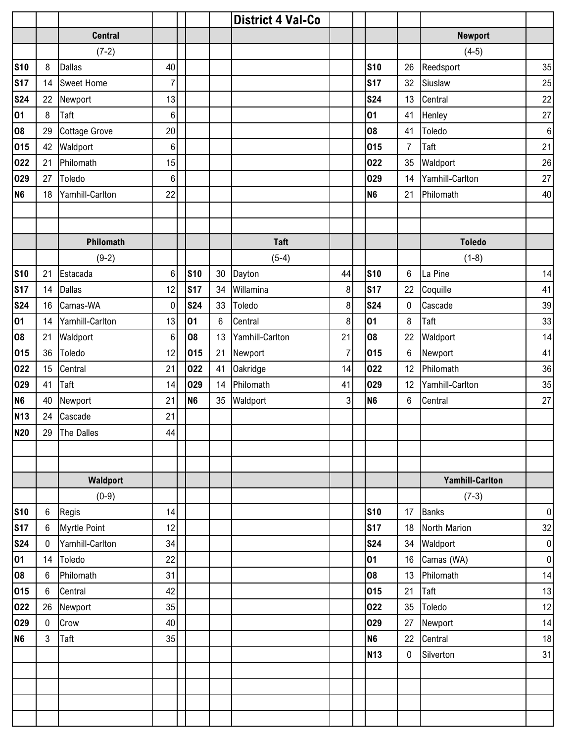|                |                  |                      |                |                |    | <b>District 4 Val-Co</b> |                |                |                 |                        |           |
|----------------|------------------|----------------------|----------------|----------------|----|--------------------------|----------------|----------------|-----------------|------------------------|-----------|
|                |                  | <b>Central</b>       |                |                |    |                          |                |                |                 | <b>Newport</b>         |           |
|                |                  | $(7-2)$              |                |                |    |                          |                |                |                 | $(4-5)$                |           |
| <b>S10</b>     | 8                | <b>Dallas</b>        | 40             |                |    |                          |                | <b>S10</b>     | 26              | Reedsport              | 35        |
| <b>S17</b>     | 14               | <b>Sweet Home</b>    | $\overline{7}$ |                |    |                          |                | <b>S17</b>     | 32              | Siuslaw                | 25        |
| <b>S24</b>     | 22               | Newport              | 13             |                |    |                          |                | <b>S24</b>     | 13              | Central                | 22        |
| 01             | 8                | Taft                 | 6              |                |    |                          |                | 01             | 41              | Henley                 | 27        |
| 08             | 29               | <b>Cottage Grove</b> | 20             |                |    |                          |                | 08             | 41              | Toledo                 | $\,6\,$   |
| 015            | 42               | Waldport             | $\,6$          |                |    |                          |                | 015            | $\overline{7}$  | Taft                   | 21        |
| 022            | 21               | Philomath            | 15             |                |    |                          |                | 022            | 35              | Waldport               | 26        |
| 029            | 27               | Toledo               | 6              |                |    |                          |                | 029            | 14              | Yamhill-Carlton        | 27        |
| N <sub>6</sub> | 18               | Yamhill-Carlton      | 22             |                |    |                          |                | N <sub>6</sub> | 21              | Philomath              | 40        |
|                |                  |                      |                |                |    |                          |                |                |                 |                        |           |
|                |                  |                      |                |                |    |                          |                |                |                 |                        |           |
|                |                  | Philomath            |                |                |    | <b>Taft</b>              |                |                |                 | <b>Toledo</b>          |           |
|                |                  | $(9-2)$              |                |                |    | $(5-4)$                  |                |                |                 | $(1-8)$                |           |
| <b>S10</b>     | 21               | Estacada             | 6              | <b>S10</b>     | 30 | Dayton                   | 44             | <b>S10</b>     | 6               | La Pine                | 14        |
| <b>S17</b>     | 14               | <b>Dallas</b>        | 12             | <b>S17</b>     | 34 | Willamina                | 8              | <b>S17</b>     | 22              | Coquille               | 41        |
| <b>S24</b>     | 16               | Camas-WA             | $\pmb{0}$      | <b>S24</b>     | 33 | Toledo                   | 8              | <b>S24</b>     | $\mathbf 0$     | Cascade                | $39\,$    |
| 01             | 14               | Yamhill-Carlton      | 13             | 01             | 6  | Central                  | 8              | 01             | 8               | Taft                   | 33        |
| 08             | 21               | Waldport             | 6              | 08             | 13 | Yamhill-Carlton          | 21             | 08             | 22              | Waldport               | 14        |
| 015            | 36               | Toledo               | 12             | 015            | 21 | Newport                  | $\overline{7}$ | 015            | 6               | Newport                | 41        |
| 022            | 15               | Central              | 21             | 022            | 41 | Oakridge                 | 14             | 022            | 12              | Philomath              | 36        |
| 029            | 41               | Taft                 | 14             | 029            | 14 | Philomath                | 41             | 029            | 12              | Yamhill-Carlton        | 35        |
| N <sub>6</sub> | 40               | Newport              | 21             | N <sub>6</sub> | 35 | Waldport                 | 3              | N <sub>6</sub> | $6\phantom{.0}$ | Central                | 27        |
| <b>N13</b>     | 24               | Cascade              | 21             |                |    |                          |                |                |                 |                        |           |
| <b>N20</b>     |                  | 29 The Dalles        | 44             |                |    |                          |                |                |                 |                        |           |
|                |                  |                      |                |                |    |                          |                |                |                 |                        |           |
|                |                  |                      |                |                |    |                          |                |                |                 |                        |           |
|                |                  | Waldport             |                |                |    |                          |                |                |                 | <b>Yamhill-Carlton</b> |           |
|                |                  | $(0-9)$              |                |                |    |                          |                |                |                 | $(7-3)$                |           |
| <b>S10</b>     | $\boldsymbol{6}$ | Regis                | 14             |                |    |                          |                | <b>S10</b>     | 17              | <b>Banks</b>           | $\pmb{0}$ |
| <b>S17</b>     | 6                | <b>Myrtle Point</b>  | 12             |                |    |                          |                | <b>S17</b>     | 18              | North Marion           | 32        |
| <b>S24</b>     | $\mathbf{0}$     | Yamhill-Carlton      | 34             |                |    |                          |                | <b>S24</b>     | 34              | Waldport               | $\pmb{0}$ |
| 01             | 14               | Toledo               | 22             |                |    |                          |                | 01             | 16              | Camas (WA)             | $\pmb{0}$ |
| 08             | $\,6\,$          | Philomath            | 31             |                |    |                          |                | 08             | 13              | Philomath              | 14        |
| 015            | $\,6\,$          | Central              | 42             |                |    |                          |                | 015            | 21              | Taft                   | 13        |
| 022            | 26               | Newport              | 35             |                |    |                          |                | 022            | 35              | Toledo                 | 12        |
| 029            | $\mathbf 0$      | Crow                 | 40             |                |    |                          |                | 029            | 27              | Newport                | 14        |
| N <sub>6</sub> | $\mathbf{3}$     | Taft                 | 35             |                |    |                          |                | N <sub>6</sub> | 22              | Central                | 18        |
|                |                  |                      |                |                |    |                          |                | <b>N13</b>     | $\bf{0}$        | Silverton              | 31        |
|                |                  |                      |                |                |    |                          |                |                |                 |                        |           |
|                |                  |                      |                |                |    |                          |                |                |                 |                        |           |
|                |                  |                      |                |                |    |                          |                |                |                 |                        |           |
|                |                  |                      |                |                |    |                          |                |                |                 |                        |           |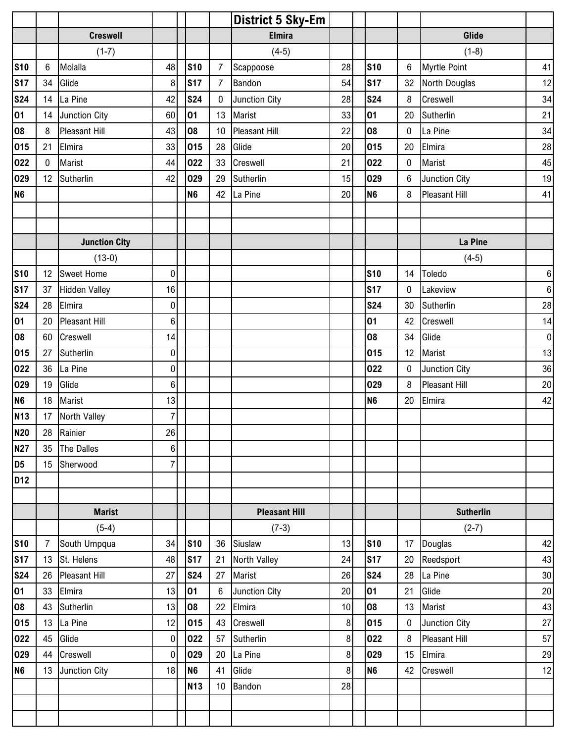|                 |                |                      |                  |                 |                  | <b>District 5 Sky-Em</b> |        |                |                 |                      |                  |
|-----------------|----------------|----------------------|------------------|-----------------|------------------|--------------------------|--------|----------------|-----------------|----------------------|------------------|
|                 |                | <b>Creswell</b>      |                  |                 |                  | <b>Elmira</b>            |        |                |                 | Glide                |                  |
|                 |                | $(1-7)$              |                  |                 |                  | $(4-5)$                  |        |                |                 | $(1-8)$              |                  |
| <b>S10</b>      | 6              | Molalla              | 48               | <b>S10</b>      | $\overline{7}$   | Scappoose                | 28     | <b>S10</b>     | $6\phantom{.0}$ | <b>Myrtle Point</b>  | 41               |
| <b>S17</b>      | 34             | Glide                | 8                | <b>S17</b>      | $\overline{7}$   | Bandon                   | 54     | <b>S17</b>     | 32              | North Douglas        | 12               |
| <b>S24</b>      | 14             | La Pine              | 42               | <b>S24</b>      | $\pmb{0}$        | Junction City            | 28     | <b>S24</b>     | 8               | Creswell             | 34               |
| 01              | 14             | Junction City        | 60               | 01              | 13               | Marist                   | 33     | 01             | 20              | Sutherlin            | 21               |
| 08              | 8              | <b>Pleasant Hill</b> | 43               | 08              | 10               | <b>Pleasant Hill</b>     | 22     | 08             | 0               | La Pine              | 34               |
| 015             | 21             | Elmira               | 33               | 015             | 28               | Glide                    | 20     | 015            | 20              | Elmira               | 28               |
| 022             | $\mathbf 0$    | Marist               | 44               | 022             | 33               | Creswell                 | 21     | 022            | $\pmb{0}$       | Marist               | 45               |
| 029             | 12             | Sutherlin            | 42               | 029             | 29               | Sutherlin                | 15     | 029            | 6               | Junction City        | 19               |
| N <sub>6</sub>  |                |                      |                  | <b>N6</b>       | 42               | La Pine                  | 20     | N <sub>6</sub> | 8               | Pleasant Hill        | 41               |
|                 |                |                      |                  |                 |                  |                          |        |                |                 |                      |                  |
|                 |                |                      |                  |                 |                  |                          |        |                |                 |                      |                  |
|                 |                | <b>Junction City</b> |                  |                 |                  |                          |        |                |                 | La Pine              |                  |
|                 |                | $(13-0)$             |                  |                 |                  |                          |        |                |                 | $(4-5)$              |                  |
| <b>S10</b>      | 12             | Sweet Home           | 0                |                 |                  |                          |        | <b>S10</b>     | 14              | Toledo               | $\,6\,$          |
| <b>S17</b>      | 37             | <b>Hidden Valley</b> | 16               |                 |                  |                          |        | <b>S17</b>     | 0               | Lakeview             | $\,6\,$          |
| <b>S24</b>      | 28             | Elmira               | $\boldsymbol{0}$ |                 |                  |                          |        | <b>S24</b>     | 30              | Sutherlin            | 28               |
| 01              | 20             | <b>Pleasant Hill</b> | $6\phantom{.}$   |                 |                  |                          |        | 01             | 42              | Creswell             | 14               |
| 08              | 60             | Creswell             | 14               |                 |                  |                          |        | 08             | 34              | Glide                | $\boldsymbol{0}$ |
| 015             | 27             | Sutherlin            | $\overline{0}$   |                 |                  |                          |        | 015            | 12              | Marist               | 13               |
| 022             | 36             | La Pine              | $\overline{0}$   |                 |                  |                          |        | 022            | $\mathbf 0$     | Junction City        | 36               |
| 029             | 19             | Glide                | $6\phantom{.}$   |                 |                  |                          |        | 029            | 8               | <b>Pleasant Hill</b> | 20               |
| N <sub>6</sub>  | 18             | Marist               | 13               |                 |                  |                          |        | N <sub>6</sub> | 20              | Elmira               | 42               |
| <b>N13</b>      | 17             | North Valley         | $\overline{7}$   |                 |                  |                          |        |                |                 |                      |                  |
| <b>N20</b>      | 28             | Rainier              | 26               |                 |                  |                          |        |                |                 |                      |                  |
| <b>N27</b>      | 35             | The Dalles           | 6 <sup>1</sup>   |                 |                  |                          |        |                |                 |                      |                  |
| D <sub>5</sub>  |                | 15 Sherwood          | 7 <sup>1</sup>   |                 |                  |                          |        |                |                 |                      |                  |
| D <sub>12</sub> |                |                      |                  |                 |                  |                          |        |                |                 |                      |                  |
|                 |                |                      |                  |                 |                  |                          |        |                |                 |                      |                  |
|                 |                | <b>Marist</b>        |                  |                 |                  | <b>Pleasant Hill</b>     |        |                |                 | <b>Sutherlin</b>     |                  |
|                 |                | $(5-4)$              |                  |                 |                  | $(7-3)$                  |        |                |                 | $(2-7)$              |                  |
| <b>S10</b>      | $\overline{7}$ | South Umpqua         | 34               | <b>S10</b>      |                  | 36 Siuslaw               | 13     | <b>S10</b>     |                 | 17 Douglas           | 42               |
| <b>S17</b>      | 13             | St. Helens           | 48               | S <sub>17</sub> | 21               | North Valley             | 24     | <b>S17</b>     | 20              | Reedsport            | 43               |
| <b>S24</b>      | 26             | Pleasant Hill        | 27               | <b>S24</b>      | 27               | Marist                   | 26     | <b>S24</b>     | 28              | La Pine              | 30               |
| 01              | 33             | Elmira               | 13               | 01              | $\boldsymbol{6}$ | Junction City            | 20     | 01             | 21              | Glide                | 20               |
| 08              | 43             | Sutherlin            | 13               | 08              | 22               | Elmira                   | $10\,$ | 08             | 13              | Marist               | 43               |
| 015             | 13             | La Pine              | 12               | 015             | 43               | Creswell                 | 8      | 015            | $\mathbf 0$     | Junction City        | 27               |
| 022             | 45             | Glide                | $\overline{0}$   | 022             | 57               | Sutherlin                | 8      | 022            | 8               | Pleasant Hill        | 57               |
| 029             | 44             | Creswell             | $\overline{0}$   | 029             | 20               | La Pine                  | 8      | 029            | 15              | Elmira               | 29               |
| N <sub>6</sub>  | 13             | Junction City        | 18               | N <sub>6</sub>  | 41               | Glide                    | 8      | N <sub>6</sub> | 42              | Creswell             | 12               |
|                 |                |                      |                  | <b>N13</b>      | 10 <sup>°</sup>  | Bandon                   | 28     |                |                 |                      |                  |
|                 |                |                      |                  |                 |                  |                          |        |                |                 |                      |                  |
|                 |                |                      |                  |                 |                  |                          |        |                |                 |                      |                  |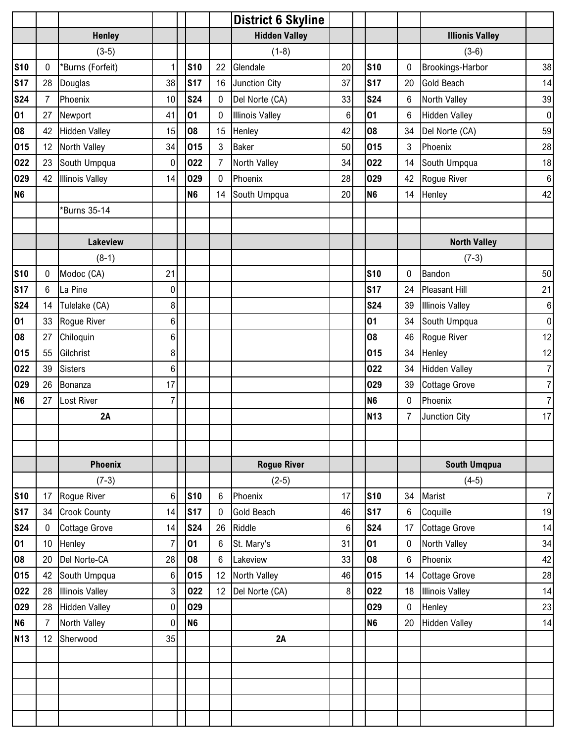|                |                 |                        |                 |            |                | <b>District 6 Skyline</b> |                 |                |                 |                        |                  |
|----------------|-----------------|------------------------|-----------------|------------|----------------|---------------------------|-----------------|----------------|-----------------|------------------------|------------------|
|                |                 | <b>Henley</b>          |                 |            |                | <b>Hidden Valley</b>      |                 |                |                 | <b>Illionis Valley</b> |                  |
|                |                 | $(3-5)$                |                 |            |                | $(1-8)$                   |                 |                |                 | $(3-6)$                |                  |
| <b>S10</b>     | 0               | *Burns (Forfeit)       | $\mathbf{1}$    | <b>S10</b> | 22             | Glendale                  | 20              | <b>S10</b>     | 0               | Brookings-Harbor       | 38               |
| <b>S17</b>     | 28              | Douglas                | 38              | <b>S17</b> | 16             | Junction City             | 37              | <b>S17</b>     | 20              | <b>Gold Beach</b>      | 14               |
| <b>S24</b>     | 7               | Phoenix                | 10 <sup>1</sup> | <b>S24</b> | $\pmb{0}$      | Del Norte (CA)            | 33              | <b>S24</b>     | 6               | North Valley           | 39               |
| 01             | 27              | Newport                | 41              | 01         | 0              | <b>Illinois Valley</b>    | $6\phantom{1}6$ | 01             | 6               | <b>Hidden Valley</b>   | $\pmb{0}$        |
| 08             | 42              | <b>Hidden Valley</b>   | 15              | 08         | 15             | Henley                    | 42              | 08             | 34              | Del Norte (CA)         | 59               |
| 015            | 12              | North Valley           | 34              | 015        | $\mathbf{3}$   | <b>Baker</b>              | 50              | 015            | $\mathbf{3}$    | Phoenix                | 28               |
| 022            | 23              | South Umpqua           | 0               | 022        | $\overline{7}$ | North Valley              | 34              | 022            | 14              | South Umpqua           | 18               |
| 029            | 42              | <b>Illinois Valley</b> | 14              | 029        | $\pmb{0}$      | Phoenix                   | 28              | 029            | 42              | Rogue River            | $\,6\,$          |
| N <sub>6</sub> |                 |                        |                 | <b>N6</b>  | 14             | South Umpqua              | 20              | N <sub>6</sub> | 14              | Henley                 | 42               |
|                |                 | *Burns 35-14           |                 |            |                |                           |                 |                |                 |                        |                  |
|                |                 |                        |                 |            |                |                           |                 |                |                 |                        |                  |
|                |                 | Lakeview               |                 |            |                |                           |                 |                |                 | <b>North Valley</b>    |                  |
|                |                 | $(8-1)$                |                 |            |                |                           |                 |                |                 | $(7-3)$                |                  |
| <b>S10</b>     | 0               | Modoc (CA)             | 21              |            |                |                           |                 | <b>S10</b>     | 0               | Bandon                 | 50               |
| <b>S17</b>     | 6               | La Pine                | 0               |            |                |                           |                 | <b>S17</b>     | 24              | <b>Pleasant Hill</b>   | 21               |
| <b>S24</b>     | 14              | Tulelake (CA)          | 8 <sup>1</sup>  |            |                |                           |                 | <b>S24</b>     | 39              | <b>Illinois Valley</b> | $\boldsymbol{6}$ |
| 01             | 33              | Rogue River            | $6\phantom{.}$  |            |                |                           |                 | 01             | 34              | South Umpqua           | $\mathbf 0$      |
| 08             | 27              | Chiloquin              | 6 <sup>1</sup>  |            |                |                           |                 | 08             | 46              | Rogue River            | 12               |
| 015            | 55              | Gilchrist              | 8               |            |                |                           |                 | 015            | 34              | Henley                 | 12               |
| 022            | 39              | <b>Sisters</b>         | $6\phantom{.}$  |            |                |                           |                 | 022            | 34              | <b>Hidden Valley</b>   | $\overline{7}$   |
| 029            | 26              | Bonanza                | 17              |            |                |                           |                 | 029            | 39              | <b>Cottage Grove</b>   | $\overline{7}$   |
| <b>N6</b>      | 27              | Lost River             | $\overline{7}$  |            |                |                           |                 | <b>N6</b>      | $\mathbf 0$     | Phoenix                | $\overline{7}$   |
|                |                 | 2A                     |                 |            |                |                           |                 | <b>N13</b>     | 7               | Junction City          | 17               |
|                |                 |                        |                 |            |                |                           |                 |                |                 |                        |                  |
|                |                 |                        |                 |            |                |                           |                 |                |                 |                        |                  |
|                |                 | <b>Phoenix</b>         |                 |            |                | <b>Rogue River</b>        |                 |                |                 | <b>South Umqpua</b>    |                  |
|                |                 | $(7-3)$                |                 |            |                | $(2-5)$                   |                 |                |                 | $(4-5)$                |                  |
| <b>S10</b>     | 17              | Rogue River            | 6               | <b>S10</b> | 6              | Phoenix                   | 17              | <b>S10</b>     | 34              | Marist                 | $\overline{7}$   |
| <b>S17</b>     | 34              | <b>Crook County</b>    | 14              | <b>S17</b> | 0              | <b>Gold Beach</b>         | 46              | <b>S17</b>     | $6\phantom{.0}$ | Coquille               | 19               |
| <b>S24</b>     | 0               | <b>Cottage Grove</b>   | 14              | <b>S24</b> | 26             | Riddle                    | $\,6$           | <b>S24</b>     | 17              | <b>Cottage Grove</b>   | 14               |
| 01             | 10 <sup>°</sup> | Henley                 | $\overline{7}$  | 01         | 6              | St. Mary's                | 31              | 01             | 0               | North Valley           | 34               |
| 08             | 20              | Del Norte-CA           | 28              | 08         | 6              | Lakeview                  | 33              | 08             | 6               | Phoenix                | 42               |
| 015            | 42              | South Umpqua           | 6               | 015        | 12             | North Valley              | 46              | 015            | 14              | <b>Cottage Grove</b>   | 28               |
| 022            | 28              | <b>Illinois Valley</b> | $\mathbf{3}$    | 022        | 12             | Del Norte (CA)            | $\bf 8$         | 022            | 18              | <b>Illinois Valley</b> | 14               |
| 029            | 28              | <b>Hidden Valley</b>   | $\overline{0}$  | 029        |                |                           |                 | 029            | 0               | Henley                 | 23               |
| N <sub>6</sub> | 7               | North Valley           | $\overline{0}$  | <b>N6</b>  |                |                           |                 | N <sub>6</sub> | 20              | <b>Hidden Valley</b>   | 14               |
| <b>N13</b>     | 12              | Sherwood               | 35              |            |                | 2A                        |                 |                |                 |                        |                  |
|                |                 |                        |                 |            |                |                           |                 |                |                 |                        |                  |
|                |                 |                        |                 |            |                |                           |                 |                |                 |                        |                  |
|                |                 |                        |                 |            |                |                           |                 |                |                 |                        |                  |
|                |                 |                        |                 |            |                |                           |                 |                |                 |                        |                  |
|                |                 |                        |                 |            |                |                           |                 |                |                 |                        |                  |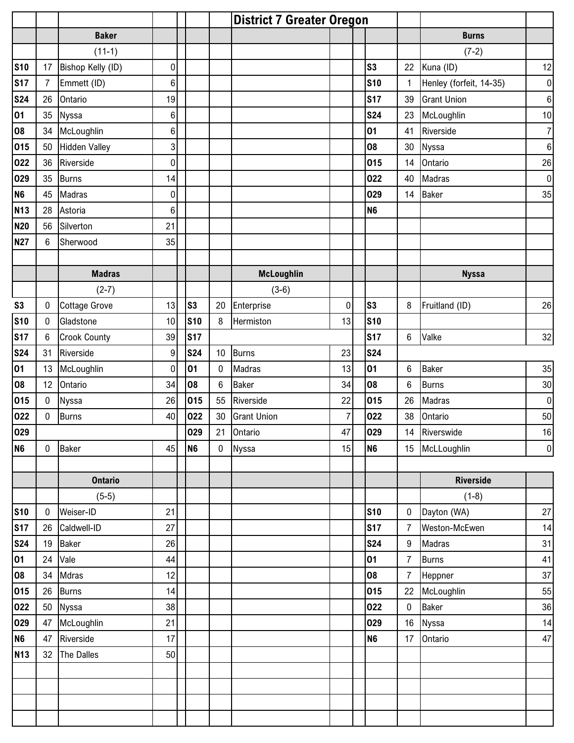|                |              |                      |                |                            |                 | <b>District 7 Greater Oregon</b> |                |                |                |                         |                  |
|----------------|--------------|----------------------|----------------|----------------------------|-----------------|----------------------------------|----------------|----------------|----------------|-------------------------|------------------|
|                |              | <b>Baker</b>         |                |                            |                 |                                  |                |                |                | <b>Burns</b>            |                  |
|                |              | $(11-1)$             |                |                            |                 |                                  |                |                |                | $(7-2)$                 |                  |
| <b>S10</b>     | 17           | Bishop Kelly (ID)    | 0              |                            |                 |                                  |                | s <sub>3</sub> | 22             | Kuna (ID)               | 12               |
| <b>S17</b>     | $\mathbf{7}$ | Emmett (ID)          | 6              |                            |                 |                                  |                | <b>S10</b>     | 1              | Henley (forfeit, 14-35) | $\pmb{0}$        |
| <b>S24</b>     | 26           | Ontario              | 19             |                            |                 |                                  |                | <b>S17</b>     | 39             | <b>Grant Union</b>      | $\boldsymbol{6}$ |
| 01             | 35           | Nyssa                | $\,6\,$        |                            |                 |                                  |                | <b>S24</b>     | 23             | McLoughlin              | 10               |
| 08             | 34           | McLoughlin           | $\,6\,$        |                            |                 |                                  |                | 01             | 41             | Riverside               | $\overline{7}$   |
| 015            | 50           | <b>Hidden Valley</b> | 3 <sup>1</sup> |                            |                 |                                  |                | 08             | 30             | Nyssa                   | 6                |
| 022            | 36           | Riverside            | $\pmb{0}$      |                            |                 |                                  |                | 015            | 14             | Ontario                 | 26               |
| 029            | 35           | <b>Burns</b>         | 14             |                            |                 |                                  |                | 022            | 40             | Madras                  | $\boldsymbol{0}$ |
| N <sub>6</sub> | 45           | Madras               | $\pmb{0}$      |                            |                 |                                  |                | 029            | 14             | <b>Baker</b>            | 35               |
| <b>N13</b>     | 28           | Astoria              | $\,6\,$        |                            |                 |                                  |                | N <sub>6</sub> |                |                         |                  |
| <b>N20</b>     | 56           | Silverton            | 21             |                            |                 |                                  |                |                |                |                         |                  |
| <b>N27</b>     | 6            | Sherwood             | 35             |                            |                 |                                  |                |                |                |                         |                  |
|                |              |                      |                |                            |                 |                                  |                |                |                |                         |                  |
|                |              | <b>Madras</b>        |                |                            |                 | <b>McLoughlin</b>                |                |                |                | <b>Nyssa</b>            |                  |
|                |              | $(2-7)$              |                |                            |                 | $(3-6)$                          |                |                |                |                         |                  |
| S <sub>3</sub> | $\pmb{0}$    | <b>Cottage Grove</b> | 13             | $\boldsymbol{\mathsf{S3}}$ | 20              | Enterprise                       | $\pmb{0}$      | S <sub>3</sub> | 8              | Fruitland (ID)          | 26               |
| <b>S10</b>     | 0            | Gladstone            | 10             | <b>S10</b>                 | 8               | Hermiston                        | 13             | <b>S10</b>     |                |                         |                  |
| <b>S17</b>     | 6            | <b>Crook County</b>  | 39             | <b>S17</b>                 |                 |                                  |                | <b>S17</b>     | 6              | Valke                   | 32               |
| <b>S24</b>     | 31           | Riverside            | 9              | <b>S24</b>                 | 10 <sup>1</sup> | <b>Burns</b>                     | 23             | <b>S24</b>     |                |                         |                  |
| 01             | 13           | McLoughlin           | $\mathbf 0$    | 01                         | 0               | Madras                           | 13             | 01             | 6              | <b>Baker</b>            | 35               |
| 08             | 12           | Ontario              | 34             | 08                         | 6               | <b>Baker</b>                     | 34             | 08             | 6              | <b>Burns</b>            | $30\,$           |
| 015            | 0            | Nyssa                | 26             | 015                        | 55              | Riverside                        | 22             | 015            | 26             | Madras                  | $\pmb{0}$        |
| 022            | 0            | <b>Burns</b>         | 40             | 022                        | 30              | <b>Grant Union</b>               | $\overline{7}$ | 022            | 38             | Ontario                 | 50               |
| 029            |              |                      |                | 029                        |                 | 21 Ontario                       | 47             | 029            |                | 14 Riverswide           | $16$             |
| N <sub>6</sub> | $\mathbf 0$  | Baker                | 45             | N <sub>6</sub>             |                 | 0 Nyssa                          | 15             | N <sub>6</sub> |                | 15 McLLoughlin          | $\boldsymbol{0}$ |
|                |              |                      |                |                            |                 |                                  |                |                |                |                         |                  |
|                |              | <b>Ontario</b>       |                |                            |                 |                                  |                |                |                | <b>Riverside</b>        |                  |
|                |              | $(5-5)$              |                |                            |                 |                                  |                |                |                | $(1-8)$                 |                  |
| <b>S10</b>     | $\pmb{0}$    | Weiser-ID            | 21             |                            |                 |                                  |                | <b>S10</b>     | $\mathbf 0$    | Dayton (WA)             | 27               |
| <b>S17</b>     | 26           | Caldwell-ID          | 27             |                            |                 |                                  |                | <b>S17</b>     | $\overline{7}$ | Weston-McEwen           | 14               |
| <b>S24</b>     | 19           | Baker                | 26             |                            |                 |                                  |                | <b>S24</b>     | 9              | Madras                  | 31               |
| 01             | 24           | Vale                 | 44             |                            |                 |                                  |                | 01             | $\overline{7}$ | <b>Burns</b>            | 41               |
| 08             | 34           | Mdras                | 12             |                            |                 |                                  |                | 08             | $\overline{7}$ | Heppner                 | 37               |
| 015            | 26           | <b>Burns</b>         | 14             |                            |                 |                                  |                | 015            |                | 22 McLoughlin           | 55               |
| 022            | 50           | Nyssa                | 38             |                            |                 |                                  |                | 022            | $\mathbf 0$    | <b>Baker</b>            | 36               |
| 029            | 47           | McLoughlin           | 21             |                            |                 |                                  |                | 029            |                | 16 Nyssa                | 14               |
| N <sub>6</sub> | 47           | Riverside            | 17             |                            |                 |                                  |                | N <sub>6</sub> | 17             | Ontario                 | 47               |
| <b>N13</b>     | 32           | The Dalles           | 50             |                            |                 |                                  |                |                |                |                         |                  |
|                |              |                      |                |                            |                 |                                  |                |                |                |                         |                  |
|                |              |                      |                |                            |                 |                                  |                |                |                |                         |                  |
|                |              |                      |                |                            |                 |                                  |                |                |                |                         |                  |
|                |              |                      |                |                            |                 |                                  |                |                |                |                         |                  |